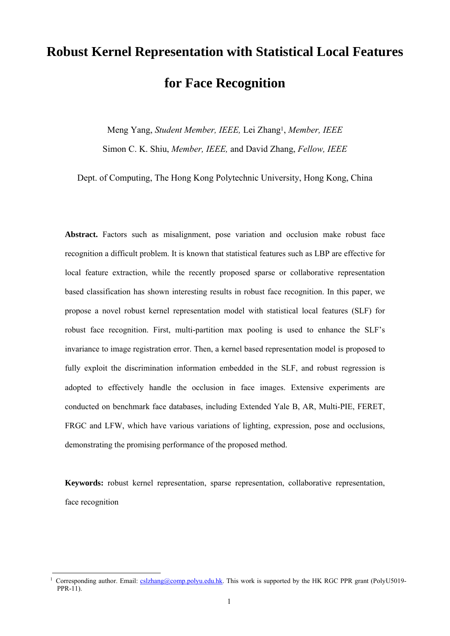# **Robust Kernel Representation with Statistical Local Features for Face Recognition**

Meng Yang, *Student Member, IEEE,* Lei Zhang1, *Member, IEEE* Simon C. K. Shiu, *Member, IEEE,* and David Zhang, *Fellow, IEEE*

Dept. of Computing, The Hong Kong Polytechnic University, Hong Kong, China

**Abstract.** Factors such as misalignment, pose variation and occlusion make robust face recognition a difficult problem. It is known that statistical features such as LBP are effective for local feature extraction, while the recently proposed sparse or collaborative representation based classification has shown interesting results in robust face recognition. In this paper, we propose a novel robust kernel representation model with statistical local features (SLF) for robust face recognition. First, multi-partition max pooling is used to enhance the SLF's invariance to image registration error. Then, a kernel based representation model is proposed to fully exploit the discrimination information embedded in the SLF, and robust regression is adopted to effectively handle the occlusion in face images. Extensive experiments are conducted on benchmark face databases, including Extended Yale B, AR, Multi-PIE, FERET, FRGC and LFW, which have various variations of lighting, expression, pose and occlusions, demonstrating the promising performance of the proposed method.

**Keywords:** robust kernel representation, sparse representation, collaborative representation, face recognition

l

Corresponding author. Email: cslzhang@comp.polyu.edu.hk. This work is supported by the HK RGC PPR grant (PolyU5019- $PPR-11$ ).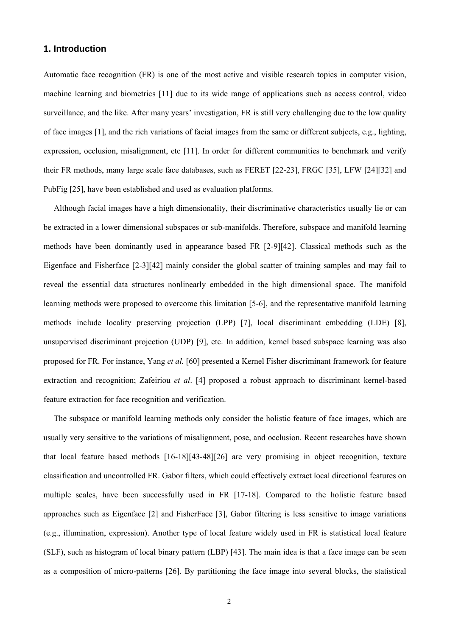# **1. Introduction**

Automatic face recognition (FR) is one of the most active and visible research topics in computer vision, machine learning and biometrics [11] due to its wide range of applications such as access control, video surveillance, and the like. After many years' investigation, FR is still very challenging due to the low quality of face images [1], and the rich variations of facial images from the same or different subjects, e.g., lighting, expression, occlusion, misalignment, etc [11]. In order for different communities to benchmark and verify their FR methods, many large scale face databases, such as FERET [22-23], FRGC [35], LFW [24][32] and PubFig [25], have been established and used as evaluation platforms.

Although facial images have a high dimensionality, their discriminative characteristics usually lie or can be extracted in a lower dimensional subspaces or sub-manifolds. Therefore, subspace and manifold learning methods have been dominantly used in appearance based FR [2-9][42]. Classical methods such as the Eigenface and Fisherface [2-3][42] mainly consider the global scatter of training samples and may fail to reveal the essential data structures nonlinearly embedded in the high dimensional space. The manifold learning methods were proposed to overcome this limitation [5-6], and the representative manifold learning methods include locality preserving projection (LPP) [7], local discriminant embedding (LDE) [8], unsupervised discriminant projection (UDP) [9], etc. In addition, kernel based subspace learning was also proposed for FR. For instance, Yang *et al.* [60] presented a Kernel Fisher discriminant framework for feature extraction and recognition; Zafeiriou *et al*. [4] proposed a robust approach to discriminant kernel-based feature extraction for face recognition and verification.

The subspace or manifold learning methods only consider the holistic feature of face images, which are usually very sensitive to the variations of misalignment, pose, and occlusion. Recent researches have shown that local feature based methods [16-18][43-48][26] are very promising in object recognition, texture classification and uncontrolled FR. Gabor filters, which could effectively extract local directional features on multiple scales, have been successfully used in FR [17-18]. Compared to the holistic feature based approaches such as Eigenface [2] and FisherFace [3], Gabor filtering is less sensitive to image variations (e.g., illumination, expression). Another type of local feature widely used in FR is statistical local feature (SLF), such as histogram of local binary pattern (LBP) [43]. The main idea is that a face image can be seen as a composition of micro-patterns [26]. By partitioning the face image into several blocks, the statistical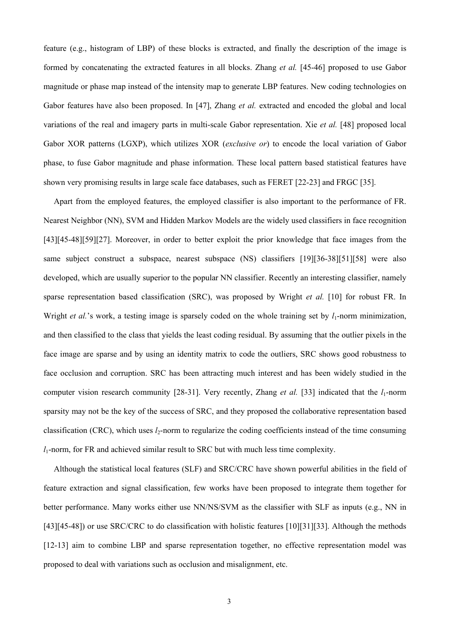feature (e.g., histogram of LBP) of these blocks is extracted, and finally the description of the image is formed by concatenating the extracted features in all blocks. Zhang *et al.* [45-46] proposed to use Gabor magnitude or phase map instead of the intensity map to generate LBP features. New coding technologies on Gabor features have also been proposed. In [47], Zhang *et al.* extracted and encoded the global and local variations of the real and imagery parts in multi-scale Gabor representation. Xie *et al.* [48] proposed local Gabor XOR patterns (LGXP), which utilizes XOR (*exclusive or*) to encode the local variation of Gabor phase, to fuse Gabor magnitude and phase information. These local pattern based statistical features have shown very promising results in large scale face databases, such as FERET [22-23] and FRGC [35].

Apart from the employed features, the employed classifier is also important to the performance of FR. Nearest Neighbor (NN), SVM and Hidden Markov Models are the widely used classifiers in face recognition [43][45-48][59][27]. Moreover, in order to better exploit the prior knowledge that face images from the same subject construct a subspace, nearest subspace (NS) classifiers [19][36-38][51][58] were also developed, which are usually superior to the popular NN classifier. Recently an interesting classifier, namely sparse representation based classification (SRC), was proposed by Wright *et al.* [10] for robust FR. In Wright *et al.*'s work, a testing image is sparsely coded on the whole training set by  $l_1$ -norm minimization, and then classified to the class that yields the least coding residual. By assuming that the outlier pixels in the face image are sparse and by using an identity matrix to code the outliers, SRC shows good robustness to face occlusion and corruption. SRC has been attracting much interest and has been widely studied in the computer vision research community [28-31]. Very recently, Zhang *et al.* [33] indicated that the  $l_1$ -norm sparsity may not be the key of the success of SRC, and they proposed the collaborative representation based classification (CRC), which uses  $l_2$ -norm to regularize the coding coefficients instead of the time consuming *l*1-norm, for FR and achieved similar result to SRC but with much less time complexity.

Although the statistical local features (SLF) and SRC/CRC have shown powerful abilities in the field of feature extraction and signal classification, few works have been proposed to integrate them together for better performance. Many works either use NN/NS/SVM as the classifier with SLF as inputs (e.g., NN in [43][45-48]) or use SRC/CRC to do classification with holistic features [10][31][33]. Although the methods [12-13] aim to combine LBP and sparse representation together, no effective representation model was proposed to deal with variations such as occlusion and misalignment, etc.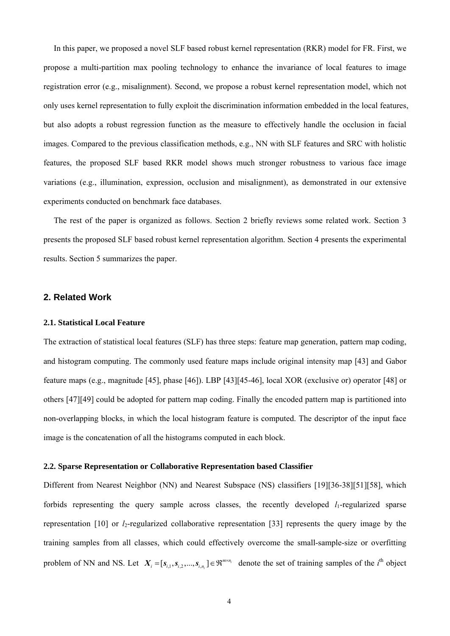In this paper, we proposed a novel SLF based robust kernel representation (RKR) model for FR. First, we propose a multi-partition max pooling technology to enhance the invariance of local features to image registration error (e.g., misalignment). Second, we propose a robust kernel representation model, which not only uses kernel representation to fully exploit the discrimination information embedded in the local features, but also adopts a robust regression function as the measure to effectively handle the occlusion in facial images. Compared to the previous classification methods, e.g., NN with SLF features and SRC with holistic features, the proposed SLF based RKR model shows much stronger robustness to various face image variations (e.g., illumination, expression, occlusion and misalignment), as demonstrated in our extensive experiments conducted on benchmark face databases.

The rest of the paper is organized as follows. Section 2 briefly reviews some related work. Section 3 presents the proposed SLF based robust kernel representation algorithm. Section 4 presents the experimental results. Section 5 summarizes the paper.

# **2. Related Work**

#### **2.1. Statistical Local Feature**

The extraction of statistical local features (SLF) has three steps: feature map generation, pattern map coding, and histogram computing. The commonly used feature maps include original intensity map [43] and Gabor feature maps (e.g., magnitude [45], phase [46]). LBP [43][45-46], local XOR (exclusive or) operator [48] or others [47][49] could be adopted for pattern map coding. Finally the encoded pattern map is partitioned into non-overlapping blocks, in which the local histogram feature is computed. The descriptor of the input face image is the concatenation of all the histograms computed in each block.

# **2.2. Sparse Representation or Collaborative Representation based Classifier**

Different from Nearest Neighbor (NN) and Nearest Subspace (NS) classifiers [19][36-38][51][58], which forbids representing the query sample across classes, the recently developed  $l_1$ -regularized sparse representation  $[10]$  or  $l_2$ -regularized collaborative representation  $[33]$  represents the query image by the training samples from all classes, which could effectively overcome the small-sample-size or overfitting problem of NN and NS. Let  $X_i = [s_{i,1}, s_{i,2}, ..., s_{i,n_i}] \in \mathbb{R}^{m \times n_i}$  $X_i = [s_{i,1}, s_{i,2},..., s_{i,n_i}] \in \mathbb{R}^{m \times n_i}$  denote the set of training samples of the *i*<sup>th</sup> object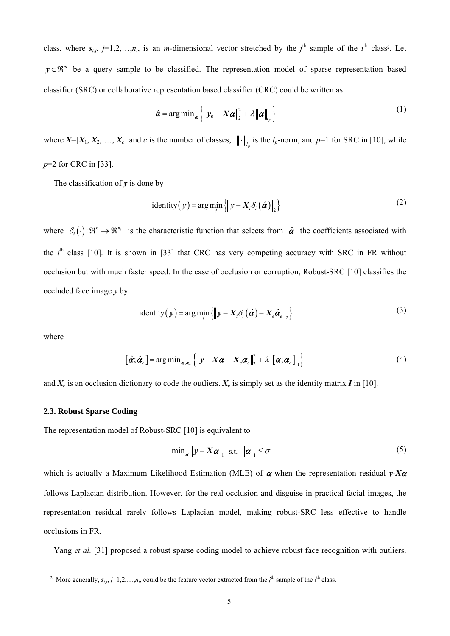class, where  $s_{i,j}$ ,  $j=1,2,...,n_i$ , is an *m*-dimensional vector stretched by the  $j^{\text{th}}$  sample of the  $i^{\text{th}}$  class<sup>2</sup>. Let  $y \in \mathbb{R}^m$  be a query sample to be classified. The representation model of sparse representation based classifier (SRC) or collaborative representation based classifier (CRC) could be written as

$$
\hat{\boldsymbol{\alpha}} = \arg \min_{\boldsymbol{\alpha}} \left\{ \left\| \boldsymbol{y}_0 - \boldsymbol{X} \boldsymbol{\alpha} \right\|_2^2 + \lambda \left\| \boldsymbol{\alpha} \right\|_{l_p} \right\}
$$
\n(1)

where  $X=[X_1, X_2, ..., X_c]$  and *c* is the number of classes;  $\|\cdot\|_t$  is the  $l_p$ -norm, and  $p=1$  for SRC in [10], while *p*=2 for CRC in [33].

The classification of  $y$  is done by

identity 
$$
(y)
$$
 = arg min<sub>i</sub>  $\{ ||y - X_i \delta_i(\hat{\boldsymbol{\alpha}})||_2 \}$  (2)

where  $\delta_i(\cdot): \mathbb{R}^n \to \mathbb{R}^{n_i}$  is the characteristic function that selects from  $\hat{\alpha}$  the coefficients associated with the  $i<sup>th</sup>$  class [10]. It is shown in [33] that CRC has very competing accuracy with SRC in FR without occlusion but with much faster speed. In the case of occlusion or corruption, Robust-SRC [10] classifies the occluded face image *y* by

identity 
$$
(y)
$$
 = arg min<sub>i</sub>  $\{ ||y - X_i \delta_i(\hat{\boldsymbol{\alpha}}) - X_e \hat{\boldsymbol{\alpha}}_e||_2 \}$  (3)

where

l

$$
\left[\hat{\boldsymbol{\alpha}}; \hat{\boldsymbol{\alpha}}_e\right] = \arg\min_{\boldsymbol{\alpha}, \boldsymbol{\alpha}_e} \left\{ \left\| \boldsymbol{y} - \boldsymbol{X} \boldsymbol{\alpha} - \boldsymbol{X}_e \boldsymbol{\alpha}_e \right\|_2^2 + \lambda \left\| \left[\boldsymbol{\alpha}; \boldsymbol{\alpha}_e\right] \right\|_1 \right\}
$$
(4)

and  $X_e$  is an occlusion dictionary to code the outliers.  $X_e$  is simply set as the identity matrix *I* in [10].

# **2.3. Robust Sparse Coding**

The representation model of Robust-SRC [10] is equivalent to

$$
\min_{\mathbf{\alpha}} \|\mathbf{y} - \mathbf{X}\mathbf{\alpha}\|_{1} \quad \text{s.t.} \quad \|\mathbf{\alpha}\|_{1} \leq \sigma \tag{5}
$$

which is actually a Maximum Likelihood Estimation (MLE) of  $\alpha$  when the representation residual *y-X* $\alpha$ follows Laplacian distribution. However, for the real occlusion and disguise in practical facial images, the representation residual rarely follows Laplacian model, making robust-SRC less effective to handle occlusions in FR.

Yang *et al.* [31] proposed a robust sparse coding model to achieve robust face recognition with outliers.

<sup>&</sup>lt;sup>2</sup> More generally,  $s_{i,j}$ ,  $j=1,2,...,n_i$ , could be the feature vector extracted from the  $j^{\text{th}}$  sample of the  $i^{\text{th}}$  class.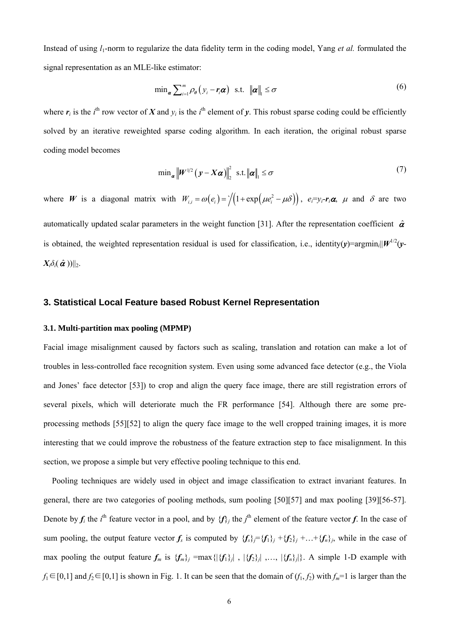Instead of using *l*1-norm to regularize the data fidelity term in the coding model, Yang *et al.* formulated the signal representation as an MLE-like estimator:

$$
\min_{\mathbf{\alpha}} \sum_{i=1}^{m} \rho_{\theta} \left( y_i - \mathbf{r}_i \mathbf{\alpha} \right) \text{ s.t. } \|\mathbf{\alpha}\|_{1} \leq \sigma \tag{6}
$$

where  $r_i$  is the *i*<sup>th</sup> row vector of *X* and  $y_i$  is the *i*<sup>th</sup> element of *y*. This robust sparse coding could be efficiently solved by an iterative reweighted sparse coding algorithm. In each iteration, the original robust sparse coding model becomes

$$
\min_{\mathbf{\alpha}} \left\| \mathbf{W}^{1/2} \left( \mathbf{y} - \mathbf{X} \mathbf{\alpha} \right) \right\|_{2}^{2} \text{ s.t. } \left\| \mathbf{\alpha} \right\|_{1} \leq \sigma \tag{7}
$$

where W is a diagonal matrix with  $W_{i,i} = \omega(e_i) = \sqrt{(1 + \exp(\mu e_i^2 - \mu \delta))}$ ,  $e_i = y_i - r_i \alpha$ ,  $\mu$  and  $\delta$  are two automatically updated scalar parameters in the weight function [31]. After the representation coefficient  $\hat{\alpha}$ is obtained, the weighted representation residual is used for classification, i.e., identity( $v$ )=argmin<sub>i</sub>|| $W^{1/2}(v)$ - $X_i \delta_i(\hat{\boldsymbol{\alpha}})$ )||<sub>2</sub>.

# **3. Statistical Local Feature based Robust Kernel Representation**

## **3.1. Multi-partition max pooling (MPMP)**

Facial image misalignment caused by factors such as scaling, translation and rotation can make a lot of troubles in less-controlled face recognition system. Even using some advanced face detector (e.g., the Viola and Jones' face detector [53]) to crop and align the query face image, there are still registration errors of several pixels, which will deteriorate much the FR performance [54]. Although there are some preprocessing methods [55][52] to align the query face image to the well cropped training images, it is more interesting that we could improve the robustness of the feature extraction step to face misalignment. In this section, we propose a simple but very effective pooling technique to this end.

Pooling techniques are widely used in object and image classification to extract invariant features. In general, there are two categories of pooling methods, sum pooling [50][57] and max pooling [39][56-57]. Denote by  $f_i$  the *i*<sup>th</sup> feature vector in a pool, and by  ${f_i}$  the *j*<sup>th</sup> element of the feature vector *f*. In the case of sum pooling, the output feature vector  $f_s$  is computed by  $\{f_s\} = \{f_1\}_j + \{f_2\}_j + \ldots + \{f_n\}_j$ , while in the case of max pooling the output feature  $f_m$  is  $\{f_m\}_j = \max\{|\{f_1\}_j|$ ,  $|\{f_2\}_j|$ , ...,  $|\{f_m\}_j|$ . A simple 1-D example with *f*<sub>1</sub>∈[0,1] and *f*<sub>2</sub>∈[0,1] is shown in Fig. 1. It can be seen that the domain of  $(f_1, f_2)$  with  $f_m$ =1 is larger than the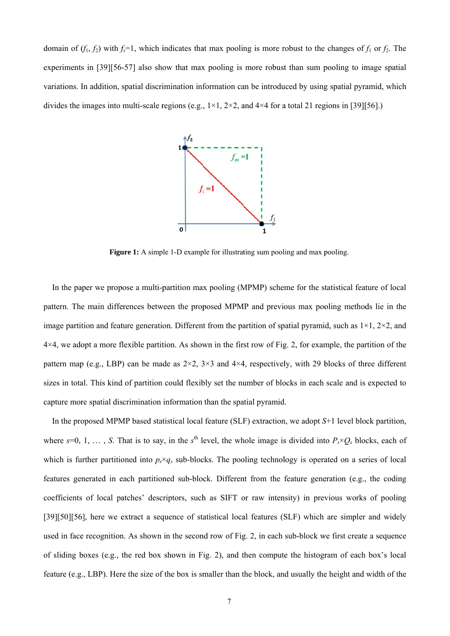domain of  $(f_1, f_2)$  with  $f_s = 1$ , which indicates that max pooling is more robust to the changes of  $f_1$  or  $f_2$ . The experiments in [39][56-57] also show that max pooling is more robust than sum pooling to image spatial variations. In addition, spatial discrimination information can be introduced by using spatial pyramid, which divides the images into multi-scale regions (e.g.,  $1 \times 1$ ,  $2 \times 2$ , and  $4 \times 4$  for a total 21 regions in [39][56].)



**Figure 1:** A simple 1-D example for illustrating sum pooling and max pooling.

In the paper we propose a multi-partition max pooling (MPMP) scheme for the statistical feature of local pattern. The main differences between the proposed MPMP and previous max pooling methods lie in the image partition and feature generation. Different from the partition of spatial pyramid, such as  $1\times1$ ,  $2\times2$ , and  $4\times4$ , we adopt a more flexible partition. As shown in the first row of Fig. 2, for example, the partition of the pattern map (e.g., LBP) can be made as  $2\times 2$ ,  $3\times 3$  and  $4\times 4$ , respectively, with 29 blocks of three different sizes in total. This kind of partition could flexibly set the number of blocks in each scale and is expected to capture more spatial discrimination information than the spatial pyramid. al eddet<br>http://www.com<br>http://www.com<br>algastration.com

In the proposed MPMP based statistical local feature (SLF) extraction, we adopt *S*+1 level block partition, where  $s=0, 1, \ldots, S$ . That is to say, in the  $s<sup>th</sup>$  level, the whole image is divided into  $P_s \times Q_s$  blocks, each of which is further partitioned into  $p_s \times q_s$  sub-blocks. The pooling technology is operated on a series of local features generated in each partitioned sub-block. Different from the feature generation (e.g., the coding coefficients of local patches' descriptors, such as SIFT or raw intensity) in previous works of pooling [39][50][56], here we extract a sequence of statistical local features (SLF) which are simpler and widely used in face recognition. As shown in the second row of Fig. 2, in each sub-block we first create a sequence of sliding boxes (e.g., the red box shown in Fig. 2), and then compute the histogram of each box's local feature (e.g., LBP). Here the size of the box is smaller than the block, and usually the height and width of the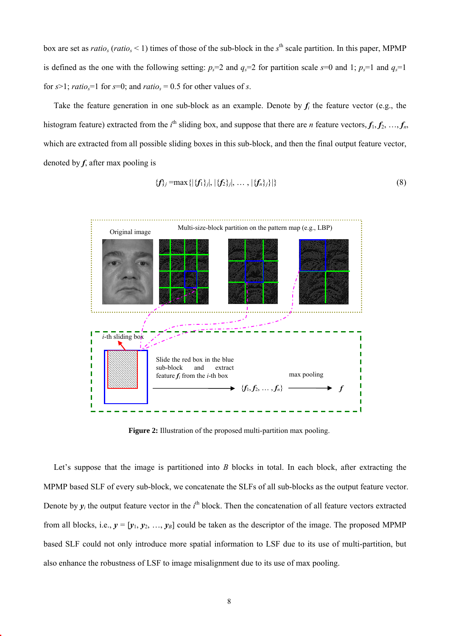box are set as *ratio<sub>s</sub>* (*ratio<sub>s</sub>* < 1) times of those of the sub-block in the  $s<sup>th</sup>$  scale partition. In this paper, MPMP is defined as the one with the following setting:  $p_s=2$  and  $q_s=2$  for partition scale  $s=0$  and 1;  $p_s=1$  and  $q_s=1$ for  $s>1$ ; *ratio<sub>s</sub>*=1 for  $s=0$ ; and *ratio<sub>s</sub>* = 0.5 for other values of *s*.

Take the feature generation in one sub-block as an example. Denote by  $f_i$  the feature vector (e.g., the histogram feature) extracted from the  $i^{\text{th}}$  sliding box, and suppose that there are *n* feature vectors,  $f_1, f_2, ..., f_n$ , which are extracted from all possible sliding boxes in this sub-block, and then the final output feature vector, denoted by *f*, after max pooling is

$$
\{f_j\} = \max\{|\{f_1\}_j|, |\{f_2\}_j|, \ldots, |\{f_n\}_j\}|\}\
$$
\n(8)



**Figure 2:** Illustration of the proposed multi-partition max pooling.

Let's suppose that the image is partitioned into *B* blocks in total. In each block, after extracting the MPMP based SLF of every sub-block, we concatenate the SLFs of all sub-blocks as the output feature vector. Denote by  $y_i$  the output feature vector in the  $i^{\text{th}}$  block. Then the concatenation of all feature vectors extracted from all blocks, i.e.,  $y = [y_1, y_2, ..., y_B]$  could be taken as the descriptor of the image. The proposed MPMP based SLF could not only introduce more spatial information to LSF due to its use of multi-partition, but also enhance the robustness of LSF to image misalignment due to its use of max pooling.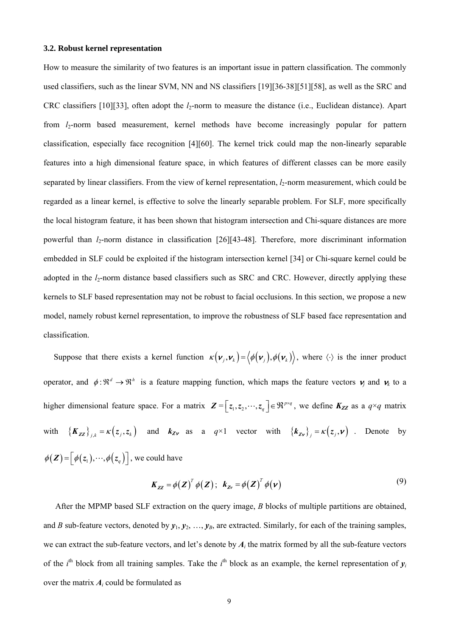#### **3.2. Robust kernel representation**

How to measure the similarity of two features is an important issue in pattern classification. The commonly used classifiers, such as the linear SVM, NN and NS classifiers [19][36-38][51][58], as well as the SRC and CRC classifiers [10][33], often adopt the *l*<sub>2</sub>-norm to measure the distance (i.e., Euclidean distance). Apart from *l*<sub>2</sub>-norm based measurement, kernel methods have become increasingly popular for pattern classification, especially face recognition [4][60]. The kernel trick could map the non-linearly separable features into a high dimensional feature space, in which features of different classes can be more easily separated by linear classifiers. From the view of kernel representation, *l*<sub>2</sub>-norm measurement, which could be regarded as a linear kernel, is effective to solve the linearly separable problem. For SLF, more specifically the local histogram feature, it has been shown that histogram intersection and Chi-square distances are more powerful than *l<sub>2</sub>*-norm distance in classification [26][43-48]. Therefore, more discriminant information embedded in SLF could be exploited if the histogram intersection kernel [34] or Chi-square kernel could be adopted in the *l*<sub>2</sub>-norm distance based classifiers such as SRC and CRC. However, directly applying these kernels to SLF based representation may not be robust to facial occlusions. In this section, we propose a new model, namely robust kernel representation, to improve the robustness of SLF based face representation and classification.

Suppose that there exists a kernel function  $\kappa(\mathbf{v}_j, \mathbf{v}_k) = \langle \phi(\mathbf{v}_j), \phi(\mathbf{v}_k) \rangle$ , where  $\langle \cdot \rangle$  is the inner product operator, and  $\phi : \mathbb{R}^d \to \mathbb{R}^h$  is a feature mapping function, which maps the feature vectors  $v_j$  and  $v_k$  to a higher dimensional feature space. For a matrix  $\mathbf{Z} = \begin{bmatrix} z_1, z_2, \dots, z_q \end{bmatrix} \in \mathbb{R}^{p \times q}$ , we define  $K_{ZZ}$  as a  $q \times q$  matrix with  ${K_{zz}}_{j,k} = \kappa(z_j, z_k)$  and  $K_{zy}$  as a  $q \times 1$  vector with  ${K_{zy}}_j = \kappa(z_j, v)$ . Denote by  $\phi(\mathbf{Z}) = \left[ \phi(z_1), \cdots, \phi(z_a) \right]$ , we could have

$$
K_{zz} = \phi(Z)^T \phi(Z); \quad k_{zv} = \phi(Z)^T \phi(v)
$$
\n(9)

After the MPMP based SLF extraction on the query image, *B* blocks of multiple partitions are obtained, and *B* sub-feature vectors, denoted by  $y_1, y_2, ..., y_B$ , are extracted. Similarly, for each of the training samples, we can extract the sub-feature vectors, and let's denote by  $A_i$  the matrix formed by all the sub-feature vectors of the *i*<sup>th</sup> block from all training samples. Take the *i*<sup>th</sup> block as an example, the kernel representation of  $y_i$ over the matrix *Ai* could be formulated as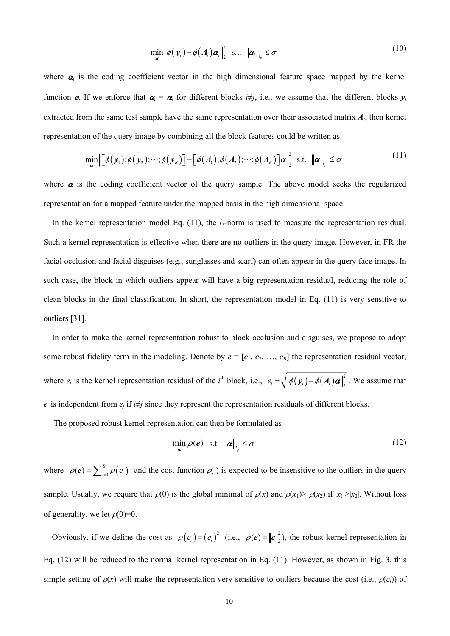$$
\min_{\mathbf{a}} \left\| \phi(\mathbf{y}_i) - \phi(\mathbf{A}_i) \mathbf{\alpha}_i \right\|_2^2 \quad \text{s.t.} \quad \left\| \mathbf{\alpha}_i \right\|_{l_p} \leq \sigma \tag{10}
$$

where  $\alpha_i$  is the coding coefficient vector in the high dimensional feature space mapped by the kernel function  $\phi$ . If we enforce that  $\alpha_i = \alpha_j$  for different blocks *i*≠*j*, i.e., we assume that the different blocks  $y_i$ extracted from the same test sample have the same representation over their associated matrix  $A_i$ , then kernel representation of the query image by combining all the block features could be written as

$$
\min_{\mathbf{a}} \left\| \left[ \phi(\mathbf{y}_1); \phi(\mathbf{y}_2); \cdots; \phi(\mathbf{y}_B) \right] - \left[ \phi(A_1); \phi(A_2); \cdots; \phi(A_B) \right] \mathbf{a} \right\|_2^2 \text{ s.t. } \left\| \mathbf{a} \right\|_{l_p} \leq \sigma
$$
\n(11)

where  $\alpha$  is the coding coefficient vector of the query sample. The above model seeks the regularized representation for a mapped feature under the mapped basis in the high dimensional space.

In the kernel representation model Eq.  $(11)$ , the  $l_2$ -norm is used to measure the representation residual. Such a kernel representation is effective when there are no outliers in the query image. However, in FR the facial occlusion and facial disguises (e.g., sunglasses and scarf) can often appear in the query face image. In such case, the block in which outliers appear will have a big representation residual, reducing the role of clean blocks in the final classification. In short, the representation model in Eq. (11) is very sensitive to outliers [31].

In order to make the kernel representation robust to block occlusion and disguises, we propose to adopt some robust fidelity term in the modeling. Denote by  $e = [e_1, e_2, ..., e_B]$  the representation residual vector, where  $e_i$  is the kernel representation residual of the *i*<sup>th</sup> block, i.e.,  $e_i = \sqrt{\|\phi(\mathbf{y}_i) - \phi(\mathbf{A}_i)\boldsymbol{\alpha}\|_2^2}$ . We assume that  $e_i$  is independent from  $e_i$  if  $i \neq j$  since they represent the representation residuals of different blocks.

The proposed robust kernel representation can then be formulated as

$$
\min_{\mathbf{a}} \rho(\mathbf{e}) \quad \text{s.t.} \quad \|\mathbf{a}\|_{l_p} \leq \sigma \tag{12}
$$

where  $\rho(e) = \sum_{i=1}^{B} \rho(e_i)$  and the cost function  $\rho(\cdot)$  is expected to be insensitive to the outliers in the query sample. Usually, we require that  $\rho(0)$  is the global minimal of  $\rho(x)$  and  $\rho(x_1) > \rho(x_2)$  if  $|x_1| > |x_2|$ . Without loss of generality, we let  $\rho(0)=0$ .

Obviously, if we define the cost as  $\rho(e_i) = (e_i)^2$  (i.e.,  $\rho(e) = ||e||_2^2$ ), the robust kernel representation in Eq. (12) will be reduced to the normal kernel representation in Eq. (11). However, as shown in Fig. 3, this simple setting of  $\rho(x)$  will make the representation very sensitive to outliers because the cost (i.e.,  $\rho(e_i)$ ) of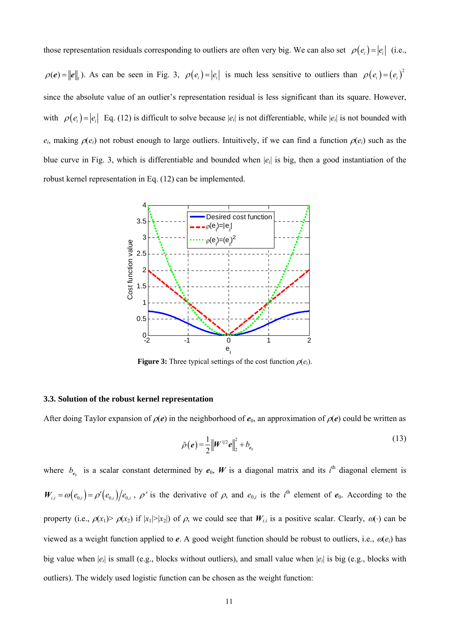those representation residuals corresponding to outliers are often very big. We can also set  $\rho(e_i) = |e_i|$  (i.e.,  $\rho(e) = ||e||_1$ ). As can be seen in Fig. 3,  $\rho(e_i) = |e_i|$  is much less sensitive to outliers than  $\rho(e_i) = (e_i)^2$ since the absolute value of an outlier's representation residual is less significant than its square. However, with  $\rho(e_i) = |e_i|$  Eq. (12) is difficult to solve because  $|e_i|$  is not differentiable, while  $|e_i|$  is not bounded with  $e_i$ , making  $\rho(e_i)$  not robust enough to large outliers. Intuitively, if we can find a function  $\rho(e_i)$  such as the blue curve in Fig. 3, which is differentiable and bounded when |*ei*| is big, then a good instantiation of the robust kernel representation in Eq. (12) can be implemented.



**Figure 3:** Three typical settings of the cost function  $\rho(e_i)$ .

#### **3.3. Solution of the robust kernel representation**

After doing Taylor expansion of  $\rho(e)$  in the neighborhood of  $e_0$ , an approximation of  $\rho(e)$  could be written as

$$
\tilde{\rho}(e) = \frac{1}{2} \left\| W^{1/2} e \right\|_2^2 + b_{e_0}
$$
\n(13)

where  $b_{e_0}$  is a scalar constant determined by  $e_0$ , W is a diagonal matrix and its  $i^{\text{th}}$  diagonal element is  $W_{i,i} = \omega(e_{0,i}) = \rho'(e_{0,i})/e_{0,i}$ ,  $\rho'$  is the derivative of  $\rho$ , and  $e_{0,i}$  is the *i*<sup>th</sup> element of  $e_0$ . According to the property (i.e.,  $\rho(x_1) > \rho(x_2)$  if  $|x_1| > |x_2|$ ) of  $\rho$ , we could see that  $W_{i,i}$  is a positive scalar. Clearly,  $\omega(\cdot)$  can be viewed as a weight function applied to *e*. A good weight function should be robust to outliers, i.e.,  $\alpha(e_i)$  has big value when |*ei*| is small (e.g., blocks without outliers), and small value when |*ei*| is big (e.g., blocks with outliers). The widely used logistic function can be chosen as the weight function: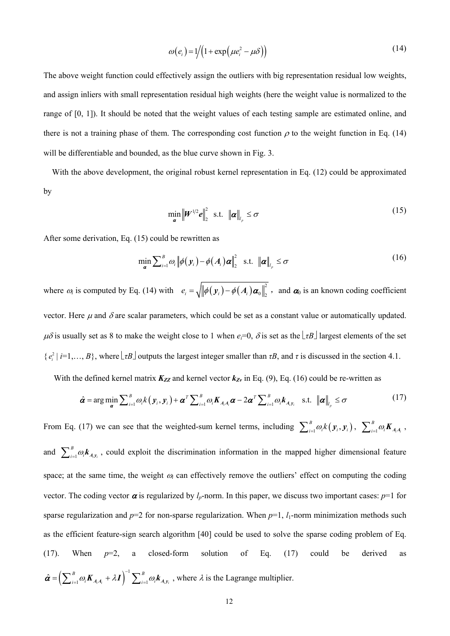$$
\omega(e_i) = 1/(1 + \exp(\mu e_i^2 - \mu \delta))
$$
\n(14)

The above weight function could effectively assign the outliers with big representation residual low weights, and assign inliers with small representation residual high weights (here the weight value is normalized to the range of [0, 1]). It should be noted that the weight values of each testing sample are estimated online, and there is not a training phase of them. The corresponding cost function  $\rho$  to the weight function in Eq. (14) will be differentiable and bounded, as the blue curve shown in Fig. 3.

With the above development, the original robust kernel representation in Eq. (12) could be approximated by

$$
\min_{\mathbf{\alpha}} \left\| \mathbf{W}^{1/2} \mathbf{e} \right\|_{2}^{2} \text{ s.t. } \left\| \mathbf{\alpha} \right\|_{l_{p}} \leq \sigma \tag{15}
$$

After some derivation, Eq. (15) could be rewritten as

$$
\min_{\mathbf{a}} \sum_{i=1}^{B} \omega_{i} \left\| \phi(\mathbf{y}_{i}) - \phi(\mathbf{A}_{i}) \mathbf{\alpha} \right\|_{2}^{2} \quad \text{s.t.} \quad \left\| \mathbf{\alpha} \right\|_{l_{p}} \leq \sigma \tag{16}
$$

where  $\omega_i$  is computed by Eq. (14) with  $e_i = \sqrt{\|\phi(\mathbf{y}_i) - \phi(\mathbf{A}_i)\boldsymbol{\alpha}_0\|_2^2}$ , and  $\boldsymbol{\alpha}_0$  is an known coding coefficient vector. Here  $\mu$  and  $\delta$  are scalar parameters, which could be set as a constant value or automatically updated.  $\mu\delta$  is usually set as 8 to make the weight close to 1 when  $e_i=0$ ,  $\delta$  is set as the  $\lfloor \tau B \rfloor$  largest elements of the set  $\{e_i^2 \mid i=1,\ldots,B\}$ , where  $\lfloor \tau B \rfloor$  outputs the largest integer smaller than  $\tau B$ , and  $\tau$  is discussed in the section 4.1.

With the defined kernel matrix  $K_{ZZ}$  and kernel vector  $k_{Zv}$  in Eq. (9), Eq. (16) could be re-written as

$$
\hat{\boldsymbol{\alpha}} = \arg \min_{\boldsymbol{\alpha}} \sum_{i=1}^{B} \omega_{i} k\left(\mathbf{y}_{i}, \mathbf{y}_{i}\right) + \boldsymbol{\alpha}^{T} \sum_{i=1}^{B} \omega_{i} \mathbf{K}_{A_{i} A_{i}} \boldsymbol{\alpha} - 2 \boldsymbol{\alpha}^{T} \sum_{i=1}^{B} \omega_{i} \mathbf{k}_{A_{i} y_{i}} \quad \text{s.t.} \quad \|\boldsymbol{\alpha}\|_{l_{p}} \leq \sigma \tag{17}
$$

From Eq. (17) we can see that the weighted-sum kernel terms, including  $\sum_{i=1}^{B} \omega_i k(y_i, y_i)$ ,  $\sum_{i=1}^{B} \omega_i K_{A_i A_i}$ , and  $\sum_{i=1}^{B} \omega_i \mathbf{k}_{A_i y_i}$ , could exploit the discrimination information in the mapped higher dimensional feature space; at the same time, the weight  $\omega_i$  can effectively remove the outliers' effect on computing the coding vector. The coding vector  $\alpha$  is regularized by  $l_p$ -norm. In this paper, we discuss two important cases:  $p=1$  for sparse regularization and  $p=2$  for non-sparse regularization. When  $p=1$ ,  $l_1$ -norm minimization methods such as the efficient feature-sign search algorithm [40] could be used to solve the sparse coding problem of Eq. (17). When *p*=2, a closed-form solution of Eq. (17) could be derived as  $\hat{\alpha} = \left( \sum_{i=1}^{B} \omega_i \mathbf{K}_{A_i A_i} + \lambda \mathbf{I} \right)^{-1} \sum_{i=1}^{B} \omega_i \mathbf{k}_{A_i y_i}$ , where  $\lambda$  is the Lagrange multiplier.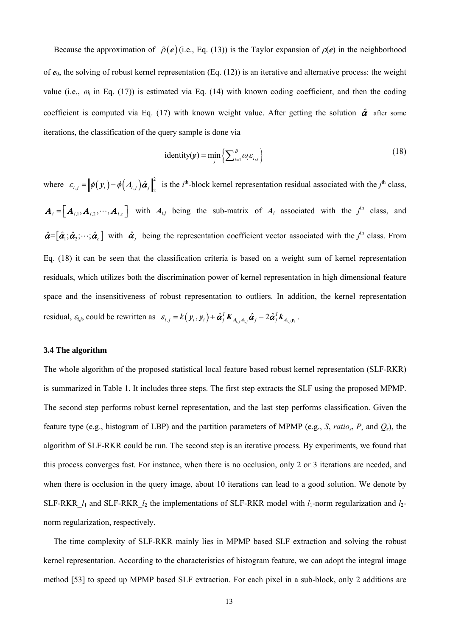Because the approximation of  $\tilde{\rho}(e)$  (i.e., Eq. (13)) is the Taylor expansion of  $\rho(e)$  in the neighborhood of  $e_0$ , the solving of robust kernel representation (Eq. (12)) is an iterative and alternative process: the weight value (i.e.,  $\omega_i$  in Eq. (17)) is estimated via Eq. (14) with known coding coefficient, and then the coding coefficient is computed via Eq. (17) with known weight value. After getting the solution  $\hat{\alpha}$  after some iterations, the classification of the query sample is done via

$$
identity(\mathbf{y}) = \min_{j} \left\{ \sum_{i=1}^{B} \omega_{i} \varepsilon_{i,j} \right\}
$$
 (18)

where  $\varepsilon_{i,j} = \left\| \phi(\mathbf{y}_i) - \phi(A_{i,j}) \hat{\boldsymbol{\alpha}}_j \right\|_2^2$  is the *i*<sup>th</sup>-block kernel representation residual associated with the *j*<sup>th</sup> class,  $A_i = [A_{i,1}, A_{i,2}, \cdots, A_{i,c}]$  with  $A_{i,j}$  being the sub-matrix of  $A_i$  associated with the  $j^{\text{th}}$  class, and  $\hat{\boldsymbol{\alpha}} = [\hat{\boldsymbol{\alpha}}_1; \hat{\boldsymbol{\alpha}}_2; \cdots; \hat{\boldsymbol{\alpha}}_c]$  with  $\hat{\boldsymbol{\alpha}}_j$  being the representation coefficient vector associated with the *j*<sup>th</sup> class. From Eq. (18) it can be seen that the classification criteria is based on a weight sum of kernel representation residuals, which utilizes both the discrimination power of kernel representation in high dimensional feature space and the insensitiveness of robust representation to outliers. In addition, the kernel representation residual,  $\varepsilon_{i,j}$ , could be rewritten as  $\varepsilon_{i,j} = k(\mathbf{y}_i, \mathbf{y}_i) + \hat{\boldsymbol{\alpha}}_j^T \boldsymbol{K}_{A_{i,j}A_{i,j}} \hat{\boldsymbol{\alpha}}_j - 2\hat{\boldsymbol{\alpha}}_j^T \boldsymbol{k}_{A_{i,j}y_i}$ .

#### **3.4 The algorithm**

The whole algorithm of the proposed statistical local feature based robust kernel representation (SLF-RKR) is summarized in Table 1. It includes three steps. The first step extracts the SLF using the proposed MPMP. The second step performs robust kernel representation, and the last step performs classification. Given the feature type (e.g., histogram of LBP) and the partition parameters of MPMP (e.g., *S*, *ratio<sub>s</sub>*,  $P_s$  and  $Q_s$ ), the algorithm of SLF-RKR could be run. The second step is an iterative process. By experiments, we found that this process converges fast. For instance, when there is no occlusion, only 2 or 3 iterations are needed, and when there is occlusion in the query image, about 10 iterations can lead to a good solution. We denote by SLF-RKR  $l_1$  and SLF-RKR  $l_2$  the implementations of SLF-RKR model with  $l_1$ -norm regularization and  $l_2$ norm regularization, respectively.

The time complexity of SLF-RKR mainly lies in MPMP based SLF extraction and solving the robust kernel representation. According to the characteristics of histogram feature, we can adopt the integral image method [53] to speed up MPMP based SLF extraction. For each pixel in a sub-block, only 2 additions are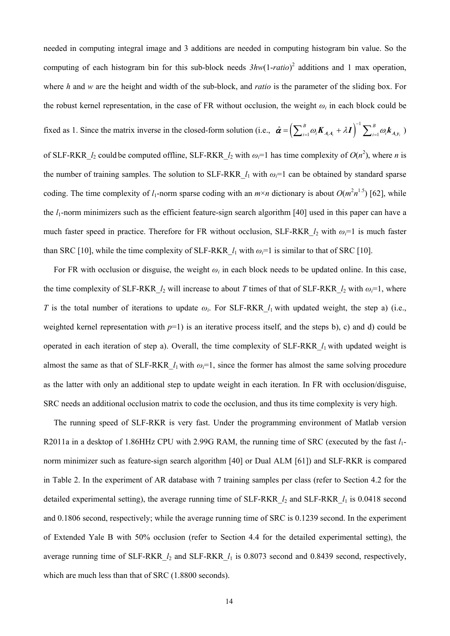needed in computing integral image and 3 additions are needed in computing histogram bin value. So the computing of each histogram bin for this sub-block needs *3hw*(1-*ratio*) 2 additions and 1 max operation, where *h* and *w* are the height and width of the sub-block, and *ratio* is the parameter of the sliding box. For the robust kernel representation, in the case of FR without occlusion, the weight  $\omega_i$  in each block could be fixed as 1. Since the matrix inverse in the closed-form solution (i.e.,  $\hat{\boldsymbol{\alpha}} = \left(\sum_{i=1}^{B} \omega_i \boldsymbol{K}_{A_i A_i} + \lambda \boldsymbol{I} \right)^{-1} \sum_{i=1}^{B} \omega_i \boldsymbol{k}_{A_i y_i}$ ) of SLF-RKR<sub>\_</sub> $l_2$  could be computed offline, SLF-RKR<sub>\_</sub> $l_2$  with  $\omega_i=1$  has time complexity of  $O(n^2)$ , where *n* is the number of training samples. The solution to SLF-RKR  $l_1$  with  $\omega_i=1$  can be obtained by standard sparse coding. The time complexity of  $l_1$ -norm sparse coding with an  $m \times n$  dictionary is about  $O(m^2 n^{1.5})$  [62], while the *l*1-norm minimizers such as the efficient feature-sign search algorithm [40] used in this paper can have a much faster speed in practice. Therefore for FR without occlusion, SLF-RKR  $l_2$  with  $\omega_i=1$  is much faster than SRC [10], while the time complexity of SLF-RKR  $l_1$  with  $\omega_i=1$  is similar to that of SRC [10].

For FR with occlusion or disguise, the weight  $\omega_i$  in each block needs to be updated online. In this case, the time complexity of SLF-RKR<sub>\_</sub> $l_2$  will increase to about *T* times of that of SLF-RKR<sub>\_ $l_2$ </sub> with  $\omega_l = 1$ , where *T* is the total number of iterations to update  $\omega_i$ . For SLF-RKR  $l_1$  with updated weight, the step a) (i.e., weighted kernel representation with  $p=1$ ) is an iterative process itself, and the steps b), c) and d) could be operated in each iteration of step a). Overall, the time complexity of SLF-RKR\_*l*1 with updated weight is almost the same as that of SLF-RKR  $l_1$  with  $\omega_i=1$ , since the former has almost the same solving procedure as the latter with only an additional step to update weight in each iteration. In FR with occlusion/disguise, SRC needs an additional occlusion matrix to code the occlusion, and thus its time complexity is very high.

The running speed of SLF-RKR is very fast. Under the programming environment of Matlab version R2011a in a desktop of 1.86HHz CPU with 2.99G RAM, the running time of SRC (executed by the fast *l*1 norm minimizer such as feature-sign search algorithm [40] or Dual ALM [61]) and SLF-RKR is compared in Table 2. In the experiment of AR database with 7 training samples per class (refer to Section 4.2 for the detailed experimental setting), the average running time of SLF-RKR\_*l*2 and SLF-RKR\_*l*1 is 0.0418 second and 0.1806 second, respectively; while the average running time of SRC is 0.1239 second. In the experiment of Extended Yale B with 50% occlusion (refer to Section 4.4 for the detailed experimental setting), the average running time of SLF-RKR\_*l*2 and SLF-RKR\_*l*1 is 0.8073 second and 0.8439 second, respectively, which are much less than that of SRC (1.8800 seconds).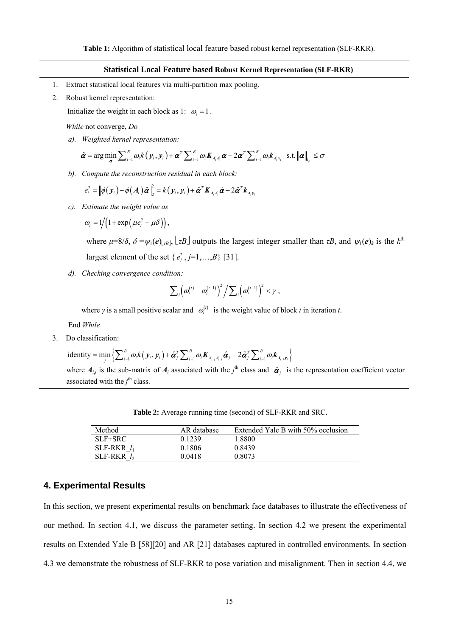#### **Statistical Local Feature based Robust Kernel Representation (SLF-RKR)**

- 1. Extract statistical local features via multi-partition max pooling.
- 2. Robust kernel representation:

Initialize the weight in each block as 1:  $\omega_i = 1$ .

*While* not converge, *Do*

*a). Weighted kernel representation:* 

$$
\hat{\boldsymbol{\alpha}} = \arg \min_{\boldsymbol{\alpha}} \sum_{i=1}^{B} \omega_i k(\mathbf{y}_i, \mathbf{y}_i) + \boldsymbol{\alpha}^T \sum_{i=1}^{B} \omega_i \boldsymbol{K}_{A_i A_i} \boldsymbol{\alpha} - 2 \boldsymbol{\alpha}^T \sum_{i=1}^{B} \omega_i \boldsymbol{k}_{A_i y_i} \text{ s.t. } ||\boldsymbol{\alpha}||_{I_p} \leq \sigma
$$

*b). Compute the reconstruction residual in each block:* 

$$
e_i^2 = \left\|\phi(\mathbf{y}_i)-\phi(\mathbf{A}_i)\hat{\boldsymbol{\alpha}}\right\|_2^2 = k(\mathbf{y}_i,\mathbf{y}_i)+\hat{\boldsymbol{\alpha}}^T\mathbf{K}_{\mathbf{A}_i\mathbf{A}_i}\hat{\boldsymbol{\alpha}} - 2\hat{\boldsymbol{\alpha}}^T\mathbf{k}_{\mathbf{A}_i\mathbf{y}_i}
$$

*c). Estimate the weight value as* 

$$
\omega_i = 1/(1 + \exp(\mu e_i^2 - \mu \delta)),
$$

where  $\mu = 8/\delta$ ,  $\delta = \psi_1(e)_{\alpha B}$ ,  $\lfloor \tau B \rfloor$  outputs the largest integer smaller than  $\tau B$ , and  $\psi_1(e)_k$  is the  $k^{\text{th}}$ largest element of the set  $\{e_i^2, j=1,\ldots,B\}$  [31].

*d). Checking convergence condition:* 

$$
\sum_i \left( \omega_i^{(t)} - \omega_i^{(t-1)} \right)^2 / \sum_i \left( \omega_i^{(t-1)} \right)^2 < \gamma,
$$

where *γ* is a small positive scalar and  $\omega_i^{(t)}$  is the weight value of block *i* in iteration *t*.

End *While*

3. Do classification:

identity = 
$$
\min_j \left\{ \sum_{i=1}^B \omega_i k(\mathbf{y}_i, \mathbf{y}_i) + \hat{\boldsymbol{\alpha}}_j^T \sum_{i=1}^B \omega_i \mathbf{K}_{A_{i,j}A_{i,j}} \hat{\boldsymbol{\alpha}}_j - 2 \hat{\boldsymbol{\alpha}}_j^T \sum_{i=1}^B \omega_i \mathbf{k}_{A_{i,j}y_i} \right\}
$$

where  $A_{ij}$  is the sub-matrix of  $A_i$  associated with the  $j^{\text{th}}$  class and  $\hat{\alpha}_j$  is the representation coefficient vector associated with the  $j^{\text{th}}$  class.

**Table 2:** Average running time (second) of SLF-RKR and SRC.

| Method        | AR database | Extended Yale B with 50% occlusion |
|---------------|-------------|------------------------------------|
| $SLF+SRC$     | 0.1239      | 1.8800                             |
| SLF-RKR $l_1$ | 0.1806      | 0.8439                             |
| SLF-RKR $l_2$ | 0.0418      | 0.8073                             |

# **4. Experimental Results**

In this section, we present experimental results on benchmark face databases to illustrate the effectiveness of our method. In section 4.1, we discuss the parameter setting. In section 4.2 we present the experimental results on Extended Yale B [58][20] and AR [21] databases captured in controlled environments. In section 4.3 we demonstrate the robustness of SLF-RKR to pose variation and misalignment. Then in section 4.4, we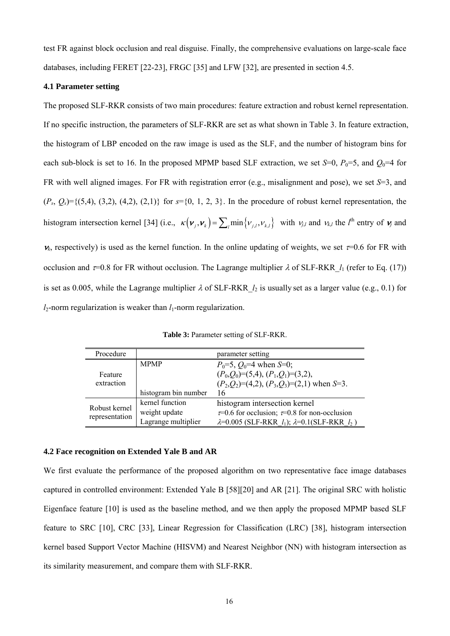test FR against block occlusion and real disguise. Finally, the comprehensive evaluations on large-scale face databases, including FERET [22-23], FRGC [35] and LFW [32], are presented in section 4.5.

# **4.1 Parameter setting**

The proposed SLF-RKR consists of two main procedures: feature extraction and robust kernel representation. If no specific instruction, the parameters of SLF-RKR are set as what shown in Table 3. In feature extraction, the histogram of LBP encoded on the raw image is used as the SLF, and the number of histogram bins for each sub-block is set to 16. In the proposed MPMP based SLF extraction, we set  $S=0$ ,  $P_0=5$ , and  $Q_0=4$  for FR with well aligned images. For FR with registration error (e.g., misalignment and pose), we set *S*=3, and  $(P_s, Q_s) = \{(5, 4), (3, 2), (4, 2), (2, 1)\}\$  for  $s = \{0, 1, 2, 3\}$ . In the procedure of robust kernel representation, the histogram intersection kernel [34] (i.e.,  $\kappa(\mathbf{v}_j, \mathbf{v}_k) = \sum_i \min\{v_{j,l}, v_{k,l}\}\$  with  $v_{j,l}$  and  $v_{k,l}$  the *l*<sup>th</sup> entry of  $\mathbf{v}_j$  and  $v_k$ , respectively) is used as the kernel function. In the online updating of weights, we set  $\tau=0.6$  for FR with occlusion and  $\tau=0.8$  for FR without occlusion. The Lagrange multiplier  $\lambda$  of SLF-RKR  $l_1$  (refer to Eq. (17)) is set as 0.005, while the Lagrange multiplier  $\lambda$  of SLF-RKR  $l_2$  is usually set as a larger value (e.g., 0.1) for  $l_2$ -norm regularization is weaker than  $l_1$ -norm regularization.

**Table 3:** Parameter setting of SLF-RKR.

| Procedure                       |                      | parameter setting                                                                                                  |
|---------------------------------|----------------------|--------------------------------------------------------------------------------------------------------------------|
| Feature<br>extraction           | <b>MPMP</b>          | $P_0=5$ , $Q_0=4$ when S=0;<br>$(P_0,Q_0)=(5,4), (P_1,Q_1)=(3,2),$<br>$(P_2,Q_2)=(4,2), (P_3,Q_3)=(2,1)$ when S=3. |
|                                 | histogram bin number | 16                                                                                                                 |
|                                 | kernel function      | histogram intersection kernel                                                                                      |
| Robust kernel<br>representation | weight update        | $\tau$ =0.6 for occlusion; $\tau$ =0.8 for non-occlusion                                                           |
|                                 | Lagrange multiplier  | $\lambda = 0.005$ (SLF-RKR $l_1$ ); $\lambda = 0.1$ (SLF-RKR $l_2$ )                                               |

#### **4.2 Face recognition on Extended Yale B and AR**

We first evaluate the performance of the proposed algorithm on two representative face image databases captured in controlled environment: Extended Yale B [58][20] and AR [21]. The original SRC with holistic Eigenface feature [10] is used as the baseline method, and we then apply the proposed MPMP based SLF feature to SRC [10], CRC [33], Linear Regression for Classification (LRC) [38], histogram intersection kernel based Support Vector Machine (HISVM) and Nearest Neighbor (NN) with histogram intersection as its similarity measurement, and compare them with SLF-RKR.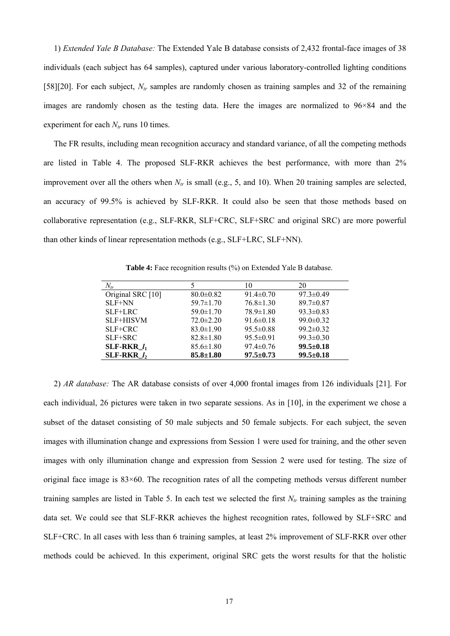1) *Extended Yale B Database:* The Extended Yale B database consists of 2,432 frontal-face images of 38 individuals (each subject has 64 samples), captured under various laboratory-controlled lighting conditions [58][20]. For each subject,  $N_{tr}$  samples are randomly chosen as training samples and 32 of the remaining images are randomly chosen as the testing data. Here the images are normalized to 96×84 and the experiment for each  $N_{tr}$  runs 10 times.

The FR results, including mean recognition accuracy and standard variance, of all the competing methods are listed in Table 4. The proposed SLF-RKR achieves the best performance, with more than 2% improvement over all the others when  $N_r$  is small (e.g., 5, and 10). When 20 training samples are selected, an accuracy of 99.5% is achieved by SLF-RKR. It could also be seen that those methods based on collaborative representation (e.g., SLF-RKR, SLF+CRC, SLF+SRC and original SRC) are more powerful than other kinds of linear representation methods (e.g., SLF+LRC, SLF+NN).

**Table 4:** Face recognition results (%) on Extended Yale B database.

| $N_{tr}$          |                 | 10              | 20              |
|-------------------|-----------------|-----------------|-----------------|
| Original SRC [10] | $80.0 \pm 0.82$ | $91.4 \pm 0.70$ | $97.3 \pm 0.49$ |
| $SLF+NN$          | $59.7 \pm 1.70$ | $76.8 \pm 1.30$ | $89.7 \pm 0.87$ |
| $SLF+LRC$         | $59.0 \pm 1.70$ | $78.9 \pm 1.80$ | $93.3 \pm 0.83$ |
| SLF+HISVM         | $72.0 \pm 2.20$ | $91.6 \pm 0.18$ | $99.0 \pm 0.32$ |
| $SLF+CRC$         | $83.0 \pm 1.90$ | $95.5 \pm 0.88$ | $99.2 \pm 0.32$ |
| $SLF+SRC$         | $82.8 \pm 1.80$ | $95.5 \pm 0.91$ | $99.3 \pm 0.30$ |
| SLF-RKR $l_1$     | $85.6 \pm 1.80$ | $97.4 \pm 0.76$ | $99.5 \pm 0.18$ |
| SLF-RKR $l_2$     | $85.8 \pm 1.80$ | $97.5 \pm 0.73$ | $99.5 \pm 0.18$ |

2) *AR database:* The AR database consists of over 4,000 frontal images from 126 individuals [21]. For each individual, 26 pictures were taken in two separate sessions. As in [10], in the experiment we chose a subset of the dataset consisting of 50 male subjects and 50 female subjects. For each subject, the seven images with illumination change and expressions from Session 1 were used for training, and the other seven images with only illumination change and expression from Session 2 were used for testing. The size of original face image is 83×60. The recognition rates of all the competing methods versus different number training samples are listed in Table 5. In each test we selected the first  $N_{tr}$  training samples as the training data set. We could see that SLF-RKR achieves the highest recognition rates, followed by SLF+SRC and SLF+CRC. In all cases with less than 6 training samples, at least 2% improvement of SLF-RKR over other methods could be achieved. In this experiment, original SRC gets the worst results for that the holistic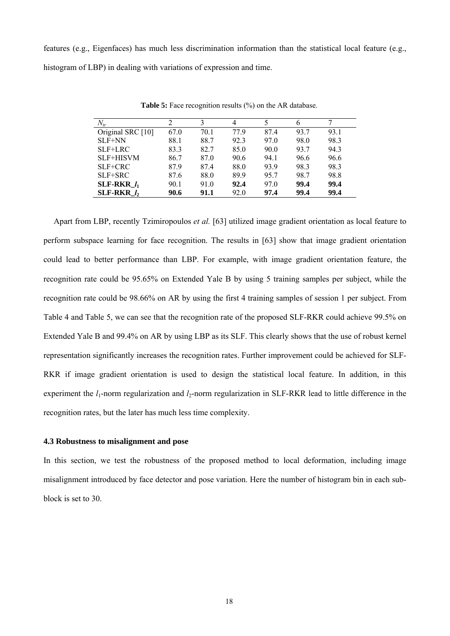features (e.g., Eigenfaces) has much less discrimination information than the statistical local feature (e.g., histogram of LBP) in dealing with variations of expression and time.

| $N_{tr}$          |      |      | 4    |      | 6    |      |
|-------------------|------|------|------|------|------|------|
| Original SRC [10] | 67.0 | 70.1 | 77.9 | 87.4 | 93.7 | 93.1 |
| SLF+NN            | 88.1 | 88.7 | 92.3 | 97.0 | 98.0 | 98.3 |
| SLF+LRC           | 83.3 | 82.7 | 85.0 | 90.0 | 93.7 | 94.3 |
| SLF+HISVM         | 86.7 | 87.0 | 90.6 | 94.1 | 96.6 | 96.6 |
| SLF+CRC           | 87.9 | 87.4 | 88.0 | 93.9 | 98.3 | 98.3 |
| SLF+SRC           | 87.6 | 88.0 | 89.9 | 95.7 | 98.7 | 98.8 |
| SLF-RKR $l_1$     | 90.1 | 91.0 | 92.4 | 97.0 | 99.4 | 99.4 |
| SLF-RKR $l_2$     | 90.6 | 91.1 | 92.0 | 97.4 | 99.4 | 99.4 |

**Table 5:** Face recognition results (%) on the AR database.

Apart from LBP, recently Tzimiropoulos *et al.* [63] utilized image gradient orientation as local feature to perform subspace learning for face recognition. The results in [63] show that image gradient orientation could lead to better performance than LBP. For example, with image gradient orientation feature, the recognition rate could be 95.65% on Extended Yale B by using 5 training samples per subject, while the recognition rate could be 98.66% on AR by using the first 4 training samples of session 1 per subject. From Table 4 and Table 5, we can see that the recognition rate of the proposed SLF-RKR could achieve 99.5% on Extended Yale B and 99.4% on AR by using LBP as its SLF. This clearly shows that the use of robust kernel representation significantly increases the recognition rates. Further improvement could be achieved for SLF-RKR if image gradient orientation is used to design the statistical local feature. In addition, in this experiment the  $l_1$ -norm regularization and  $l_2$ -norm regularization in SLF-RKR lead to little difference in the recognition rates, but the later has much less time complexity.

## **4.3 Robustness to misalignment and pose**

In this section, we test the robustness of the proposed method to local deformation, including image misalignment introduced by face detector and pose variation. Here the number of histogram bin in each subblock is set to 30.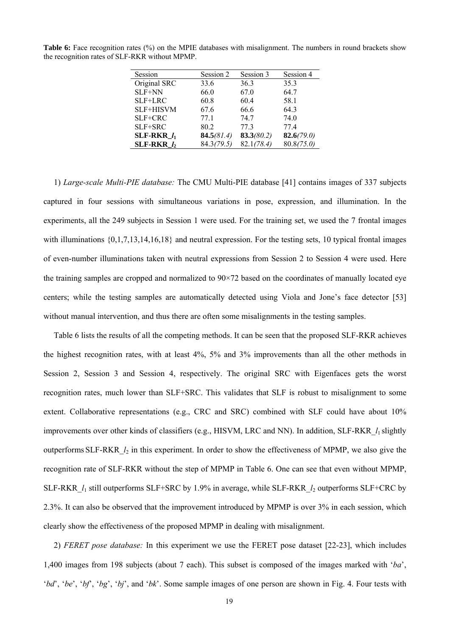| Session          | Session 2  | Session 3  | Session 4  |
|------------------|------------|------------|------------|
| Original SRC     | 33.6       | 36.3       | 35.3       |
| SLF+NN           | 66.0       | 67.0       | 64.7       |
| SLF+LRC          | 60.8       | 60.4       | 58.1       |
| <b>SLF+HISVM</b> | 67.6       | 66.6       | 64.3       |
| SLF+CRC          | 77.1       | 74.7       | 74.0       |
| SLF+SRC          | 80.2       | 77.3       | 77.4       |
| SLF-RKR $l_1$    | 84.5(81.4) | 83.3(80.2) | 82.6(79.0) |
| SLF-RKR $l_2$    | 84.3(79.5) | 82.1(78.4) | 80.8(75.0) |

**Table 6:** Face recognition rates (%) on the MPIE databases with misalignment. The numbers in round brackets show the recognition rates of SLF-RKR without MPMP.

1) *Large-scale Multi-PIE database:* The CMU Multi-PIE database [41] contains images of 337 subjects captured in four sessions with simultaneous variations in pose, expression, and illumination. In the experiments, all the 249 subjects in Session 1 were used. For the training set, we used the 7 frontal images with illuminations  $\{0,1,7,13,14,16,18\}$  and neutral expression. For the testing sets, 10 typical frontal images of even-number illuminations taken with neutral expressions from Session 2 to Session 4 were used. Here the training samples are cropped and normalized to 90×72 based on the coordinates of manually located eye centers; while the testing samples are automatically detected using Viola and Jone's face detector [53] without manual intervention, and thus there are often some misalignments in the testing samples.

Table 6 lists the results of all the competing methods. It can be seen that the proposed SLF-RKR achieves the highest recognition rates, with at least 4%, 5% and 3% improvements than all the other methods in Session 2, Session 3 and Session 4, respectively. The original SRC with Eigenfaces gets the worst recognition rates, much lower than SLF+SRC. This validates that SLF is robust to misalignment to some extent. Collaborative representations (e.g., CRC and SRC) combined with SLF could have about 10% improvements over other kinds of classifiers (e.g., HISVM, LRC and NN). In addition, SLF-RKR\_*l*1 slightly outperforms SLF-RKR\_*l*2 in this experiment. In order to show the effectiveness of MPMP, we also give the recognition rate of SLF-RKR without the step of MPMP in Table 6. One can see that even without MPMP, SLF-RKR\_*l*1 still outperforms SLF+SRC by 1.9% in average, while SLF-RKR\_*l*2 outperforms SLF+CRC by 2.3%. It can also be observed that the improvement introduced by MPMP is over 3% in each session, which clearly show the effectiveness of the proposed MPMP in dealing with misalignment.

2) *FERET pose database:* In this experiment we use the FERET pose dataset [22-23], which includes 1,400 images from 198 subjects (about 7 each). This subset is composed of the images marked with '*ba*', '*bd*', '*be*', '*bf*', '*bg*', '*bj*', and '*bk*'. Some sample images of one person are shown in Fig. 4. Four tests with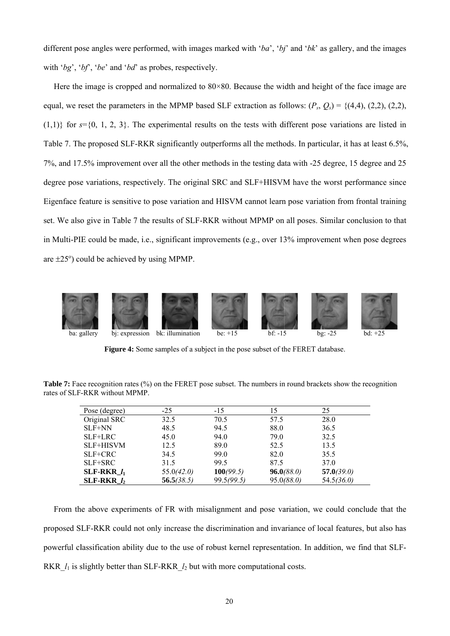different pose angles were performed, with images marked with '*ba*', '*bj*' and '*bk*' as gallery, and the images with ' $bg'$ , ' $bf'$ , ' $be'$  and ' $bd'$  as probes, respectively.

Here the image is cropped and normalized to  $80 \times 80$ . Because the width and height of the face image are equal, we reset the parameters in the MPMP based SLF extraction as follows:  $(P_s, Q_s) = \{(4,4), (2,2), (2,2),$  $(1,1)$  for  $s = \{0, 1, 2, 3\}$ . The experimental results on the tests with different pose variations are listed in (1,1)} for  $s = \{0, 1, 2, 3\}$ . The experimental results on the tests with different pose variations are listed in Table 7. The proposed SLF-RKR significantly outperforms all the methods. In particular, it has at least 6.5 7%, and 17.5% improvement over all the other methods in the testing data with -25 degree, 15 degree and 25 degree pose variations, respectively. The original SRC and SLF+HISVM have the worst performance since Eigenface feature is sensitive to pose variation and HISVM cannot learn pose variation from frontal training set. We also give in Table 7 the results of SLF-RKR without MPMP on all poses. Similar conclusion to that in Multi-PIE could be made, i.e., significant improvements (e.g., over 13% improvement when pose degrees are  $\pm 25^\circ$ ) could be achieved by using MPMP.



**Figure 4:** Some samples of a subject in the pose subset of the FERET database.

**Table 7:** Face recognition rates (%) on the FERET pose subset. The numbers in round brackets show the recognition rates of SLF-RKR without MPMP.

| Pose (degree)    | $-25$      | $-15$      | 15         | 25         |
|------------------|------------|------------|------------|------------|
| Original SRC     | 32.5       | 70.5       | 57.5       | 28.0       |
| SLF+NN           | 48.5       | 94.5       | 88.0       | 36.5       |
| SLF+LRC          | 45.0       | 94.0       | 79.0       | 32.5       |
| <b>SLF+HISVM</b> | 12.5       | 89.0       | 52.5       | 13.5       |
| SLF+CRC          | 34.5       | 99.0       | 82.0       | 35.5       |
| SLF+SRC          | 31.5       | 99.5       | 87.5       | 37.0       |
| SLF-RKR $l_1$    | 55.0(42.0) | 100(99.5)  | 96.0(88.0) | 57.0(39.0) |
| SLF-RKR $l_2$    | 56.5(38.5) | 99.5(99.5) | 95.0(88.0) | 54.5(36.0) |

From the above experiments of FR with misalignment and pose variation, we could conclude that the proposed SLF-RKR could not only increase the discrimination and invariance of local features, but also has powerful classification ability due to the use of robust kernel representation. In addition, we find that SLF-RKR $\mu$ <sup>1</sup> is slightly better than SLF-RKR $\mu$ <sub>2</sub> but with more computational costs.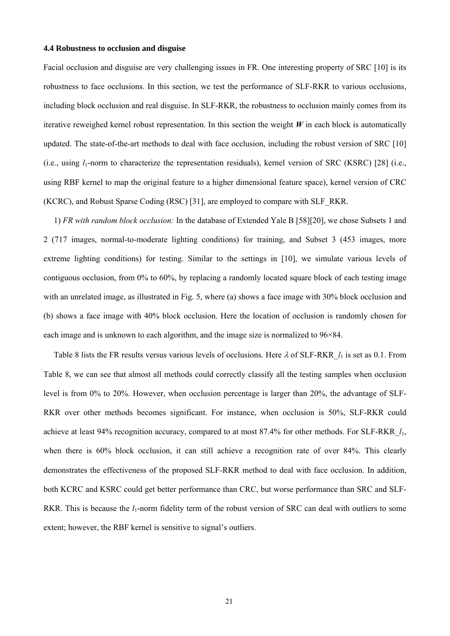#### **4.4 Robustness to occlusion and disguise**

Facial occlusion and disguise are very challenging issues in FR. One interesting property of SRC [10] is its robustness to face occlusions. In this section, we test the performance of SLF-RKR to various occlusions, including block occlusion and real disguise. In SLF-RKR, the robustness to occlusion mainly comes from its iterative reweighed kernel robust representation. In this section the weight  $W$  in each block is automatically updated. The state-of-the-art methods to deal with face occlusion, including the robust version of SRC [10] (i.e., using  $l_1$ -norm to characterize the representation residuals), kernel version of SRC (KSRC) [28] (i.e., using RBF kernel to map the original feature to a higher dimensional feature space), kernel version of CRC (KCRC), and Robust Sparse Coding (RSC) [31], are employed to compare with SLF\_RKR.

1) *FR with random block occlusion:* In the database of Extended Yale B [58][20], we chose Subsets 1 and 2 (717 images, normal-to-moderate lighting conditions) for training, and Subset 3 (453 images, more extreme lighting conditions) for testing. Similar to the settings in [10], we simulate various levels of contiguous occlusion, from 0% to 60%, by replacing a randomly located square block of each testing image with an unrelated image, as illustrated in Fig. 5, where (a) shows a face image with 30% block occlusion and (b) shows a face image with 40% block occlusion. Here the location of occlusion is randomly chosen for each image and is unknown to each algorithm, and the image size is normalized to 96×84.

Table 8 lists the FR results versus various levels of occlusions. Here λ of SLF-RKR\_*l*1 is set as 0.1. From Table 8, we can see that almost all methods could correctly classify all the testing samples when occlusion level is from 0% to 20%. However, when occlusion percentage is larger than 20%, the advantage of SLF-RKR over other methods becomes significant. For instance, when occlusion is 50%, SLF-RKR could achieve at least 94% recognition accuracy, compared to at most 87.4% for other methods. For SLF-RKR\_*l*1, when there is 60% block occlusion, it can still achieve a recognition rate of over 84%. This clearly demonstrates the effectiveness of the proposed SLF-RKR method to deal with face occlusion. In addition, both KCRC and KSRC could get better performance than CRC, but worse performance than SRC and SLF-RKR. This is because the *l*<sub>1</sub>-norm fidelity term of the robust version of SRC can deal with outliers to some extent; however, the RBF kernel is sensitive to signal's outliers.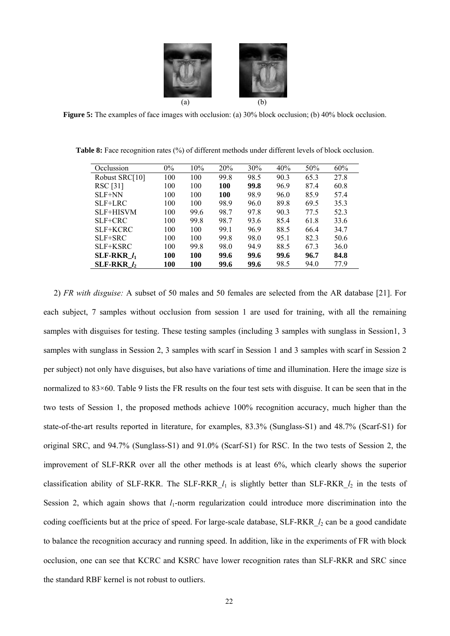

**Figure 5:** The examples of face images with occlusion: (a) 30% block occlusion; (b) 40% block occlusion.

| Occlussion     | $0\%$ | 10%  | 20%        | 30%  | 40%  | 50%  | 60%  |
|----------------|-------|------|------------|------|------|------|------|
| Robust SRC[10] | 100   | 100  | 99.8       | 98.5 | 90.3 | 65.3 | 27.8 |
| RSC [31]       | 100   | 100  | <b>100</b> | 99.8 | 96.9 | 87.4 | 60.8 |
| SLF+NN         | 100   | 100  | <b>100</b> | 98.9 | 96.0 | 85.9 | 57.4 |
| $SLF+LRC$      | 100   | 100  | 98.9       | 96.0 | 89.8 | 69.5 | 35.3 |
| SLF+HISVM      | 100   | 99.6 | 98.7       | 97.8 | 90.3 | 77.5 | 52.3 |
| $SLF+CRC$      | 100   | 99.8 | 98.7       | 93.6 | 85.4 | 61.8 | 33.6 |
| SLF+KCRC       | 100   | 100  | 99.1       | 96.9 | 88.5 | 66.4 | 34.7 |
| $SLF+SRC$      | 100   | 100  | 99.8       | 98.0 | 95.1 | 82.3 | 50.6 |
| SLF+KSRC       | 100   | 99.8 | 98.0       | 94.9 | 88.5 | 67.3 | 36.0 |
| SLF-RKR $l_1$  | 100   | 100  | 99.6       | 99.6 | 99.6 | 96.7 | 84.8 |
| SLF-RKR $l_2$  | 100   | 100  | 99.6       | 99.6 | 98.5 | 94.0 | 77.9 |

**Table 8:** Face recognition rates (%) of different methods under different levels of block occlusion.

2) *FR with disguise:* A subset of 50 males and 50 females are selected from the AR database [21]. For each subject, 7 samples without occlusion from session 1 are used for training, with all the remaining samples with disguises for testing. These testing samples (including 3 samples with sunglass in Session1, 3 samples with sunglass in Session 2, 3 samples with scarf in Session 1 and 3 samples with scarf in Session 2 per subject) not only have disguises, but also have variations of time and illumination. Here the image size is normalized to 83×60. Table 9 lists the FR results on the four test sets with disguise. It can be seen that in the two tests of Session 1, the proposed methods achieve 100% recognition accuracy, much higher than the state-of-the-art results reported in literature, for examples, 83.3% (Sunglass-S1) and 48.7% (Scarf-S1) for original SRC, and 94.7% (Sunglass-S1) and 91.0% (Scarf-S1) for RSC. In the two tests of Session 2, the improvement of SLF-RKR over all the other methods is at least 6%, which clearly shows the superior classification ability of SLF-RKR. The SLF-RKR\_*l*1 is slightly better than SLF-RKR\_*l*2 in the tests of Session 2, which again shows that *l*<sub>1</sub>-norm regularization could introduce more discrimination into the coding coefficients but at the price of speed. For large-scale database, SLF-RKR\_ $l_2$  can be a good candidate to balance the recognition accuracy and running speed. In addition, like in the experiments of FR with block occlusion, one can see that KCRC and KSRC have lower recognition rates than SLF-RKR and SRC since the standard RBF kernel is not robust to outliers.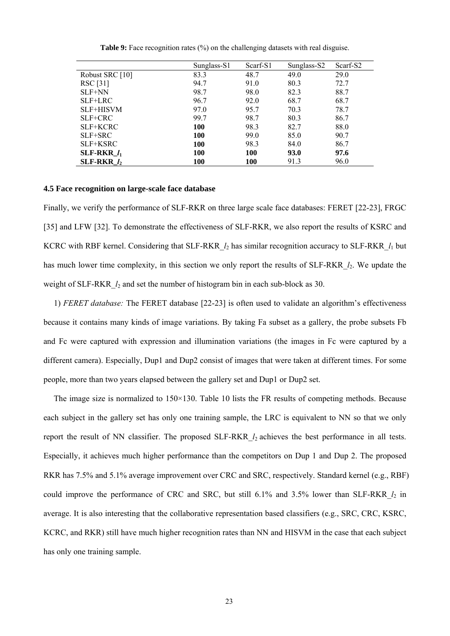|                 | Sunglass-S1 | Scarf-S1   | Sunglass-S2 | Scarf-S2 |
|-----------------|-------------|------------|-------------|----------|
| Robust SRC [10] | 83.3        | 48.7       | 49.0        | 29.0     |
| RSC [31]        | 94.7        | 91.0       | 80.3        | 72.7     |
| SLF+NN          | 98.7        | 98.0       | 82.3        | 88.7     |
| $SLF+LRC$       | 96.7        | 92.0       | 68.7        | 68.7     |
| SLF+HISVM       | 97.0        | 95.7       | 70.3        | 78.7     |
| SLF+CRC         | 99.7        | 98.7       | 80.3        | 86.7     |
| SLF+KCRC        | 100         | 98.3       | 82.7        | 88.0     |
| SLF+SRC         | 100         | 99.0       | 85.0        | 90.7     |
| SLF+KSRC        | 100         | 98.3       | 84.0        | 86.7     |
| SLF-RKR $l_1$   | 100         | <b>100</b> | 93.0        | 97.6     |
| SLF-RKR $l_2$   | 100         | 100        | 91.3        | 96.0     |

**Table 9:** Face recognition rates (%) on the challenging datasets with real disguise.

## **4.5 Face recognition on large-scale face database**

Finally, we verify the performance of SLF-RKR on three large scale face databases: FERET [22-23], FRGC [35] and LFW [32]. To demonstrate the effectiveness of SLF-RKR, we also report the results of KSRC and KCRC with RBF kernel. Considering that SLF-RKR\_*l*2 has similar recognition accuracy to SLF-RKR\_*l*1 but has much lower time complexity, in this section we only report the results of SLF-RKR  $l_2$ . We update the weight of SLF-RKR  $l_2$  and set the number of histogram bin in each sub-block as 30.

1) *FERET database:* The FERET database [22-23] is often used to validate an algorithm's effectiveness because it contains many kinds of image variations. By taking Fa subset as a gallery, the probe subsets Fb and Fc were captured with expression and illumination variations (the images in Fc were captured by a different camera). Especially, Dup1 and Dup2 consist of images that were taken at different times. For some people, more than two years elapsed between the gallery set and Dup1 or Dup2 set.

The image size is normalized to  $150 \times 130$ . Table 10 lists the FR results of competing methods. Because each subject in the gallery set has only one training sample, the LRC is equivalent to NN so that we only report the result of NN classifier. The proposed SLF-RKR\_*l*2 achieves the best performance in all tests. Especially, it achieves much higher performance than the competitors on Dup 1 and Dup 2. The proposed RKR has 7.5% and 5.1% average improvement over CRC and SRC, respectively. Standard kernel (e.g., RBF) could improve the performance of CRC and SRC, but still 6.1% and 3.5% lower than SLF-RKR  $l_2$  in average. It is also interesting that the collaborative representation based classifiers (e.g., SRC, CRC, KSRC, KCRC, and RKR) still have much higher recognition rates than NN and HISVM in the case that each subject has only one training sample.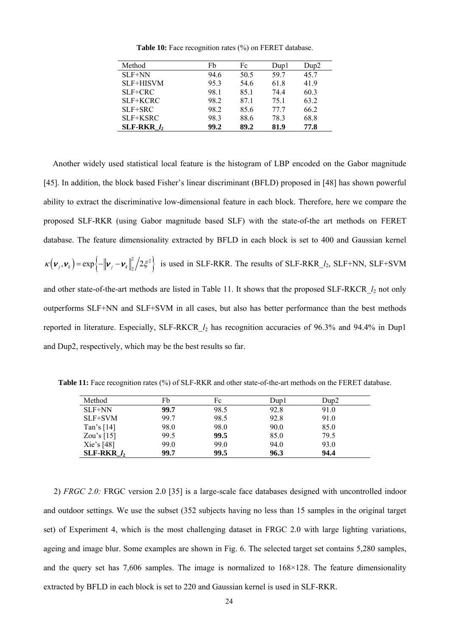| Method           | Fb   | Fc   | Dup1 | Dup2 |
|------------------|------|------|------|------|
| $SLF+NN$         | 94.6 | 50.5 | 59.7 | 45.7 |
| <b>SLF+HISVM</b> | 95.3 | 54.6 | 61.8 | 41.9 |
| $SLF+CRC$        | 98.1 | 85.1 | 74.4 | 60.3 |
| SLF+KCRC         | 98.2 | 871  | 75.1 | 63.2 |
| $SLF+SRC$        | 98.2 | 85.6 | 77.7 | 66.2 |
| SLF+KSRC         | 98.3 | 88.6 | 78.3 | 68.8 |
| $SLF-RKR$ $l_2$  | 99.2 | 89.2 | 81.9 | 77.8 |

**Table 10:** Face recognition rates (%) on FERET database.

Another widely used statistical local feature is the histogram of LBP encoded on the Gabor magnitude [45]. In addition, the block based Fisher's linear discriminant (BFLD) proposed in [48] has shown powerful ability to extract the discriminative low-dimensional feature in each block. Therefore, here we compare the proposed SLF-RKR (using Gabor magnitude based SLF) with the state-of-the art methods on FERET database. The feature dimensionality extracted by BFLD in each block is set to 400 and Gaussian kernel  $\kappa(\boldsymbol{\nu}_j, \boldsymbol{\nu}_k) = \exp\left\{-\|\boldsymbol{\nu}_j - \boldsymbol{\nu}_k\|_2^2/2\xi^2\right\}$  is used in SLF-RKR. The results of SLF-RKR\_*l*<sub>2</sub>, SLF+NN, SLF+SVM and other state-of-the-art methods are listed in Table 11. It shows that the proposed SLF-RKCR\_*l*2 not only outperforms SLF+NN and SLF+SVM in all cases, but also has better performance than the best methods reported in literature. Especially, SLF-RKCR\_*l*2 has recognition accuracies of 96.3% and 94.4% in Dup1 and Dup2, respectively, which may be the best results so far.

**Table 11:** Face recognition rates (%) of SLF-RKR and other state-of-the-art methods on the FERET database.

| Method        | Fb   | Fc   | Dup1 | $D$ up $2$ |
|---------------|------|------|------|------------|
| SLF+NN        | 99.7 | 98.5 | 92.8 | 91.0       |
| SLF+SVM       | 99.7 | 98.5 | 92.8 | 91.0       |
| Tan's $[14]$  | 98.0 | 98.0 | 90.0 | 85.0       |
| Zou's $[15]$  | 99.5 | 99.5 | 85.0 | 79.5       |
| Xie's $[48]$  | 99.0 | 99.0 | 94.0 | 93.0       |
| SLF-RKR $l_2$ | 99.7 | 99.5 | 96.3 | 94.4       |

2) *FRGC 2.0:* FRGC version 2.0 [35] is a large-scale face databases designed with uncontrolled indoor and outdoor settings. We use the subset (352 subjects having no less than 15 samples in the original target set) of Experiment 4, which is the most challenging dataset in FRGC 2.0 with large lighting variations, ageing and image blur. Some examples are shown in Fig. 6. The selected target set contains 5,280 samples, and the query set has 7,606 samples. The image is normalized to  $168\times128$ . The feature dimensionality extracted by BFLD in each block is set to 220 and Gaussian kernel is used in SLF-RKR.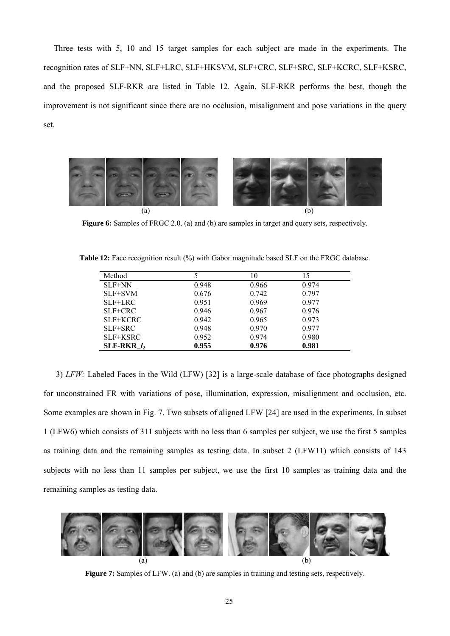Three tests with 5, 10 and 15 target samples for each subject are made in the experiments. The recognition rates of SLF+NN, SLF+LRC, SLF+HKSVM, SLF+CRC, SLF+SRC, SLF+KCRC, SLF+KSRC, and the proposed SLF-RKR are listed in Table 12. Again, SLF-RKR performs the best, though the improvement is not significant since there are no occlusion, misalignment and pose variations in the query set.



**Figure 6:** Samples of FRGC 2.0. (a) and (b) are samples in target and query sets, respectively.

| Method        |       | 10    | 15    |
|---------------|-------|-------|-------|
| $SLF+NN$      | 0.948 | 0.966 | 0.974 |
| $SLF+SVM$     | 0.676 | 0.742 | 0.797 |
| $SLF+LRC$     | 0.951 | 0.969 | 0.977 |
| $SLF+CRC$     | 0.946 | 0.967 | 0.976 |
| SLF+KCRC      | 0.942 | 0.965 | 0.973 |
| $SLF+SRC$     | 0.948 | 0.970 | 0.977 |
| SLF+KSRC      | 0.952 | 0.974 | 0.980 |
| SLF-RKR $l_2$ | 0.955 | 0.976 | 0.981 |

**Table 12:** Face recognition result (%) with Gabor magnitude based SLF on the FRGC database.

3) *LFW:* Labeled Faces in the Wild (LFW) [32] is a large-scale database of face photographs designed for unconstrained FR with variations of pose, illumination, expression, misalignment and occlusion, etc. Some examples are shown in Fig. 7. Two subsets of aligned LFW [24] are used in the experiments. In subset 1 (LFW6) which consists of 311 subjects with no less than 6 samples per subject, we use the first 5 samples as training data and the remaining samples as testing data. In subset 2 (LFW11) which consists of 143 subjects with no less than 11 samples per subject, we use the first 10 samples as training data and the remaining samples as testing data.



**Figure 7:** Samples of LFW. (a) and (b) are samples in training and testing sets, respectively.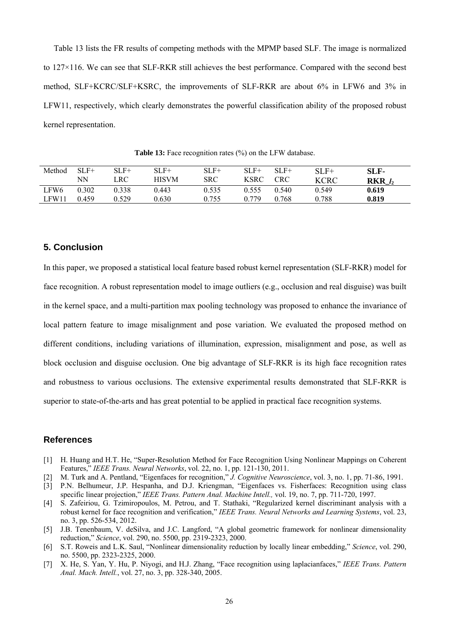Table 13 lists the FR results of competing methods with the MPMP based SLF. The image is normalized to 127×116. We can see that SLF-RKR still achieves the best performance. Compared with the second best method, SLF+KCRC/SLF+KSRC, the improvements of SLF-RKR are about 6% in LFW6 and 3% in LFW11, respectively, which clearly demonstrates the powerful classification ability of the proposed robust kernel representation.

| Method | $SLF+$ | SLF+  | SLF+         | SLF+  | $SLF+$      | SLF+  | $SLF+$      | SLF-        |
|--------|--------|-------|--------------|-------|-------------|-------|-------------|-------------|
|        | NΝ     | LRC   | <b>HISVM</b> | SRC   | <b>KSRC</b> | CRC   | <b>KCRC</b> | $RKR$ $l_2$ |
| LFW6   | 0.302  | 0.338 | 0.443        | 0.535 | 0.555       | 0.540 | 0.549       | 0.619       |
| LFW11  | 0.459  | 0.529 | 0.630        | 0.755 | 0.779       | .768  | 0.788       | 0.819       |

Table 13: Face recognition rates (%) on the LFW database.

# **5. Conclusion**

In this paper, we proposed a statistical local feature based robust kernel representation (SLF-RKR) model for face recognition. A robust representation model to image outliers (e.g., occlusion and real disguise) was built in the kernel space, and a multi-partition max pooling technology was proposed to enhance the invariance of local pattern feature to image misalignment and pose variation. We evaluated the proposed method on different conditions, including variations of illumination, expression, misalignment and pose, as well as block occlusion and disguise occlusion. One big advantage of SLF-RKR is its high face recognition rates and robustness to various occlusions. The extensive experimental results demonstrated that SLF-RKR is superior to state-of-the-arts and has great potential to be applied in practical face recognition systems.

# **References**

- [1] H. Huang and H.T. He, "Super-Resolution Method for Face Recognition Using Nonlinear Mappings on Coherent Features," *IEEE Trans. Neural Networks*, vol. 22, no. 1, pp. 121-130, 2011.
- [2] M. Turk and A. Pentland, "Eigenfaces for recognition," *J. Cognitive Neuroscience*, vol. 3, no. 1, pp. 71-86, 1991.
- [3] P.N. Belhumeur, J.P. Hespanha, and D.J. Kriengman, "Eigenfaces vs. Fisherfaces: Recognition using class specific linear projection," *IEEE Trans. Pattern Anal. Machine Intell.,* vol. 19, no. 7, pp. 711-720, 1997.
- [4] S. Zafeiriou, G. Tzimiropoulos, M. Petrou, and T. Stathaki, "Regularized kernel discriminant analysis with a robust kernel for face recognition and verification," *IEEE Trans. Neural Networks and Learning Systems*, vol. 23, no. 3, pp. 526-534, 2012.
- [5] J.B. Tenenbaum, V. deSilva, and J.C. Langford, "A global geometric framework for nonlinear dimensionality reduction," *Science*, vol. 290, no. 5500, pp. 2319-2323, 2000.
- [6] S.T. Roweis and L.K. Saul, "Nonlinear dimensionality reduction by locally linear embedding," *Science*, vol. 290, no. 5500, pp. 2323-2325, 2000.
- [7] X. He, S. Yan, Y. Hu, P. Niyogi, and H.J. Zhang, "Face recognition using laplacianfaces," *IEEE Trans. Pattern Anal. Mach. Intell.*, vol. 27, no. 3, pp. 328-340, 2005.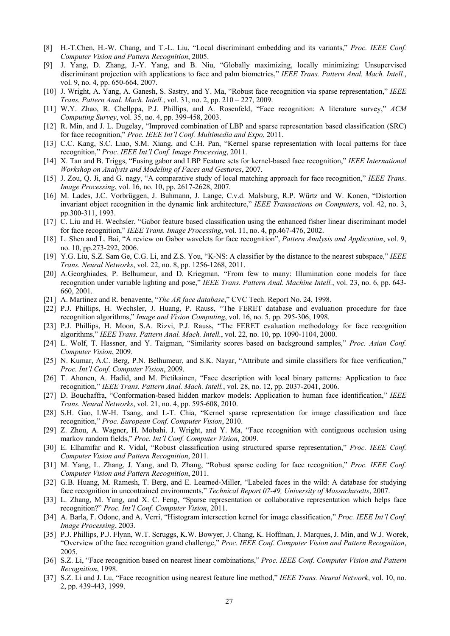- [8] H.-T.Chen, H.-W. Chang, and T.-L. Liu, "Local discriminant embedding and its variants," *Proc. IEEE Conf. Computer Vision and Pattern Recognition*, 2005.
- [9] J. Yang, D. Zhang, J.-Y. Yang, and B. Niu, "Globally maximizing, locally minimizing: Unsupervised discriminant projection with applications to face and palm biometrics," *IEEE Trans. Pattern Anal. Mach. Intell.*, vol. 9, no. 4, pp. 650-664, 2007.
- [10] J. Wright, A. Yang, A. Ganesh, S. Sastry, and Y. Ma, "Robust face recognition via sparse representation," *IEEE Trans. Pattern Anal. Mach. Intell.*, vol. 31, no. 2, pp. 210 – 227, 2009.
- [11] W.Y. Zhao, R. Chellppa, P.J. Phillips, and A. Rosenfeld, "Face recognition: A literature survey," *ACM Computing Survey*, vol. 35, no. 4, pp. 399-458, 2003.
- [12] R. Min, and J. L. Dugelay, "Improved combination of LBP and sparse representation based classification (SRC) for face recognition," *Proc. IEEE Int'l Conf. Multimedia and Expo*, 2011.
- [13] C.C. Kang, S.C. Liao, S.M. Xiang, and C.H. Pan, "Kernel sparse representation with local patterns for face recognition," *Proc. IEEE Int'l Conf. Image Processing*, 2011.
- [14] X. Tan and B. Triggs, "Fusing gabor and LBP Feature sets for kernel-based face recognition," *IEEE International Workshop on Analysis and Modeling of Faces and Gestures*, 2007.
- [15] J. Zou, Q. Ji, and G. nagy, "A comparative study of local matching approach for face recognition," *IEEE Trans. Image Processing*, vol. 16, no. 10, pp. 2617-2628, 2007.
- [16] M. Lades, J.C. Vorbrüggen, J. Buhmann, J. Lange, C.v.d. Malsburg, R.P. Würtz and W. Konen, "Distortion invariant object recognition in the dynamic link architecture," *IEEE Transactions on Computers*, vol. 42, no. 3, pp.300-311, 1993.
- [17] C. Liu and H. Wechsler, "Gabor feature based classification using the enhanced fisher linear discriminant model for face recognition," *IEEE Trans. Image Processing*, vol. 11, no. 4, pp.467-476, 2002.
- [18] L. Shen and L. Bai, "A review on Gabor wavelets for face recognition", *Pattern Analysis and Application*, vol. 9, no. 10, pp.273-292, 2006.
- [19] Y.G. Liu, S.Z. Sam Ge, C.G. Li, and Z.S. You, "K-NS: A classifier by the distance to the nearest subspace," *IEEE Trans. Neural Networks*, vol. 22, no. 8, pp. 1256-1268, 2011.
- [20] A.Georghiades, P. Belhumeur, and D. Kriegman, "From few to many: Illumination cone models for face recognition under variable lighting and pose," *IEEE Trans. Pattern Anal. Machine Intell.*, vol. 23, no. 6, pp. 643- 660, 2001.
- [21] A. Martinez and R. benavente, "*The AR face database*," CVC Tech. Report No. 24, 1998.
- [22] P.J. Phillips, H. Wechsler, J. Huang, P. Rauss, "The FERET database and evaluation procedure for face recognition algorithms," *Image and Vision Computing*, vol. 16, no. 5, pp. 295-306, 1998.
- [23] P.J. Phillips, H. Moon, S.A. Rizvi, P.J. Rauss, "The FERET evaluation methodology for face recognition algorithms," *IEEE Trans. Pattern Anal. Mach. Intell.*, vol. 22, no. 10, pp. 1090-1104, 2000.
- [24] L. Wolf, T. Hassner, and Y. Taigman, "Similarity scores based on background samples," *Proc. Asian Conf. Computer Vision*, 2009.
- [25] N. Kumar, A.C. Berg, P.N. Belhumeur, and S.K. Nayar, "Attribute and simile classifiers for face verification," *Proc. Int'l Conf. Computer Vision*, 2009.
- [26] T. Ahonen, A. Hadid, and M. Pietikainen, "Face description with local binary patterns: Application to face recognition," *IEEE Trans. Pattern Anal. Mach. Intell.*, vol. 28, no. 12, pp. 2037-2041, 2006.
- [27] D. Bouchaffra, "Conformation-based hidden markov models: Application to human face identification," *IEEE Trans. Neural Networks*, vol. 21, no. 4, pp. 595-608, 2010.
- [28] S.H. Gao, I.W-H. Tsang, and L-T. Chia, "Kernel sparse representation for image classification and face recognition," *Proc. European Conf. Computer Vision*, 2010.
- [29] Z. Zhou, A. Wagner, H. Mobahi. J. Wright, and Y. Ma, "Face recognition with contiguous occlusion using markov random fields," *Proc. Int'l Conf. Computer Vision*, 2009.
- [30] E. Elhamifar and R. Vidal, "Robust classification using structured sparse representation," *Proc. IEEE Conf. Computer Vision and Pattern Recognition*, 2011.
- [31] M. Yang, L. Zhang, J. Yang, and D. Zhang, "Robust sparse coding for face recognition," *Proc. IEEE Conf. Computer Vision and Pattern Recognition*, 2011.
- [32] G.B. Huang, M. Ramesh, T. Berg, and E. Learned-Miller, "Labeled faces in the wild: A database for studying face recognition in uncontrained environments," *Technical Report 07-49, University of Massachusetts*, 2007.
- [33] L. Zhang, M. Yang, and X. C. Feng, "Sparse representation or collaborative representation which helps face recognition?" *Proc. Int'l Conf. Computer Vision*, 2011.
- [34] A. Barla, F. Odone, and A. Verri, "Histogram intersection kernel for image classification," *Proc. IEEE Int'l Conf. Image Processing*, 2003.
- [35] P.J. Phillips, P.J. Flynn, W.T. Scruggs, K.W. Bowyer, J. Chang, K. Hoffman, J. Marques, J. Min, and W.J. Worek, "Overview of the face recognition grand challenge," *Proc. IEEE Conf. Computer Vision and Pattern Recognition*, 2005.
- [36] S.Z. Li, "Face recognition based on nearest linear combinations," *Proc. IEEE Conf. Computer Vision and Pattern Recognition*, 1998.
- [37] S.Z. Li and J. Lu, "Face recognition using nearest feature line method," *IEEE Trans. Neural Network*, vol. 10, no. 2, pp. 439-443, 1999.